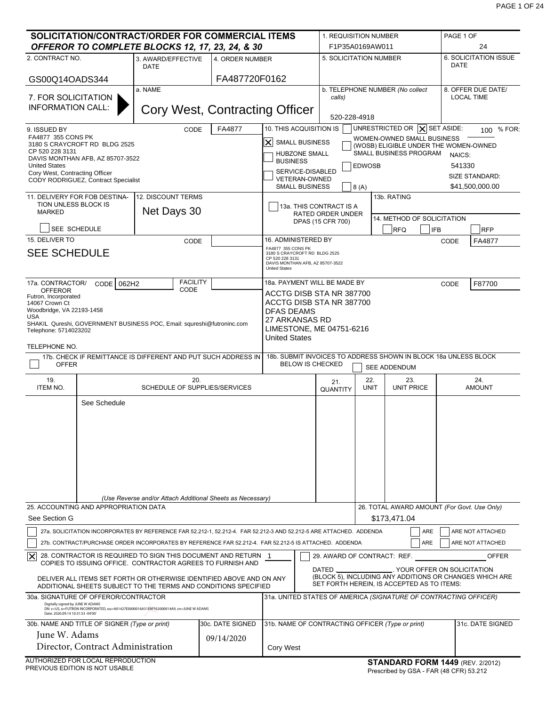| SOLICITATION/CONTRACT/ORDER FOR COMMERCIAL ITEMS<br>OFFEROR TO COMPLETE BLOCKS 12, 17, 23, 24, & 30                                                                                                                           |                                                            |                                |                                                                                            |                                                                                                       | 1. REQUISITION NUMBER<br>F1P35A0169AW011 |                                                                     |            | PAGE 1 OF<br>24              |                                             |
|-------------------------------------------------------------------------------------------------------------------------------------------------------------------------------------------------------------------------------|------------------------------------------------------------|--------------------------------|--------------------------------------------------------------------------------------------|-------------------------------------------------------------------------------------------------------|------------------------------------------|---------------------------------------------------------------------|------------|------------------------------|---------------------------------------------|
| 2. CONTRACT NO.                                                                                                                                                                                                               | 3. AWARD/EFFECTIVE                                         | 4. ORDER NUMBER                |                                                                                            | 5. SOLICITATION NUMBER                                                                                |                                          |                                                                     |            |                              | 6. SOLICITATION ISSUE                       |
|                                                                                                                                                                                                                               | DATE                                                       |                                |                                                                                            |                                                                                                       |                                          |                                                                     |            | DATE                         |                                             |
| GS00Q14OADS344                                                                                                                                                                                                                |                                                            | FA487720F0162                  |                                                                                            |                                                                                                       |                                          |                                                                     |            |                              |                                             |
| 7. FOR SOLICITATION                                                                                                                                                                                                           | a. NAME                                                    |                                |                                                                                            | b. TELEPHONE NUMBER (No collect<br>calls)                                                             |                                          |                                                                     |            |                              | 8. OFFER DUE DATE/<br><b>LOCAL TIME</b>     |
| <b>INFORMATION CALL:</b>                                                                                                                                                                                                      |                                                            | Cory West, Contracting Officer |                                                                                            | 520-228-4918                                                                                          |                                          |                                                                     |            |                              |                                             |
| 9. ISSUED BY                                                                                                                                                                                                                  | CODE                                                       | FA4877                         | 10. THIS ACQUISITION IS                                                                    |                                                                                                       |                                          | UNRESTRICTED OR $ X $ SET ASIDE:                                    |            |                              | 100 % FOR:                                  |
| FA4877 355 CONS PK<br>3180 S CRAYCROFT RD BLDG 2525                                                                                                                                                                           |                                                            |                                | $ \boldsymbol{\mathsf{X}} $<br><b>SMALL BUSINESS</b>                                       |                                                                                                       |                                          | WOMEN-OWNED SMALL BUSINESS<br>(WOSB) ELIGIBLE UNDER THE WOMEN-OWNED |            |                              |                                             |
| CP 520 228 3131<br>DAVIS MONTHAN AFB, AZ 85707-3522                                                                                                                                                                           |                                                            |                                | <b>HUBZONE SMALL</b><br><b>BUSINESS</b>                                                    |                                                                                                       |                                          | SMALL BUSINESS PROGRAM                                              |            | NAICS:                       |                                             |
| <b>United States</b><br>Cory West, Contracting Officer                                                                                                                                                                        |                                                            |                                | SERVICE-DISABLED                                                                           |                                                                                                       | <b>EDWOSB</b>                            |                                                                     |            | 541330                       |                                             |
| CODY RODRIGUEZ, Contract Specialist                                                                                                                                                                                           |                                                            |                                | <b>VETERAN-OWNED</b><br><b>SMALL BUSINESS</b>                                              | 8(A)                                                                                                  |                                          |                                                                     |            |                              | SIZE STANDARD:<br>\$41,500,000.00           |
| 11. DELIVERY FOR FOB DESTINA-                                                                                                                                                                                                 | <b>12. DISCOUNT TERMS</b>                                  |                                |                                                                                            |                                                                                                       |                                          | 13b. RATING                                                         |            |                              |                                             |
| TION UNLESS BLOCK IS<br><b>MARKED</b>                                                                                                                                                                                         | Net Days 30                                                |                                |                                                                                            | 13a. THIS CONTRACT IS A<br><b>RATED ORDER UNDER</b>                                                   |                                          |                                                                     |            |                              |                                             |
|                                                                                                                                                                                                                               |                                                            |                                |                                                                                            | DPAS (15 CFR 700)                                                                                     |                                          | 14. METHOD OF SOLICITATION                                          |            |                              |                                             |
| SEE SCHEDULE<br>15. DELIVER TO                                                                                                                                                                                                |                                                            |                                | 16. ADMINISTERED BY                                                                        |                                                                                                       |                                          | <b>RFQ</b>                                                          | <b>IFB</b> |                              | <b>RFP</b>                                  |
| <b>SEE SCHEDULE</b>                                                                                                                                                                                                           | CODE                                                       |                                | FA4877 355 CONS PK<br>3180 S CRAYCROFT RD BLDG 2525                                        |                                                                                                       |                                          |                                                                     |            | CODE                         | FA4877                                      |
|                                                                                                                                                                                                                               |                                                            |                                | CP 520 228 3131<br>DAVIS MONTHAN AFB, AZ 85707-3522<br><b>United States</b>                |                                                                                                       |                                          |                                                                     |            |                              |                                             |
| 17a. CONTRACTOR/<br>CODE 062H2                                                                                                                                                                                                | <b>FACILITY</b>                                            |                                | 18a. PAYMENT WILL BE MADE BY                                                               |                                                                                                       |                                          |                                                                     |            | CODE                         | F87700                                      |
| <b>OFFEROR</b><br>Futron, Incorporated                                                                                                                                                                                        | CODE                                                       |                                | ACCTG DISB STA NR 387700<br>ACCTG DISB STA NR 387700                                       |                                                                                                       |                                          |                                                                     |            |                              |                                             |
| 14067 Crown Ct<br>Woodbridge, VA 22193-1458                                                                                                                                                                                   |                                                            |                                | <b>DFAS DEAMS</b>                                                                          |                                                                                                       |                                          |                                                                     |            |                              |                                             |
| <b>USA</b><br>SHAKIL Qureshi, GOVERNMENT BUSINESS POC, Email: squreshi@futroninc.com                                                                                                                                          |                                                            |                                | 27 ARKANSAS RD                                                                             |                                                                                                       |                                          |                                                                     |            |                              |                                             |
| Telephone: 5714023202                                                                                                                                                                                                         |                                                            |                                | LIMESTONE, ME 04751-6216<br><b>United States</b>                                           |                                                                                                       |                                          |                                                                     |            |                              |                                             |
| TELEPHONE NO.                                                                                                                                                                                                                 |                                                            |                                |                                                                                            |                                                                                                       |                                          |                                                                     |            |                              |                                             |
| 17b. CHECK IF REMITTANCE IS DIFFERENT AND PUT SUCH ADDRESS IN<br><b>OFFER</b>                                                                                                                                                 |                                                            |                                | 18b. SUBMIT INVOICES TO ADDRESS SHOWN IN BLOCK 18a UNLESS BLOCK<br><b>BELOW IS CHECKED</b> |                                                                                                       |                                          | SEE ADDENDUM                                                        |            |                              |                                             |
| 19.<br><b>ITEM NO.</b>                                                                                                                                                                                                        | 20.<br>SCHEDULE OF SUPPLIES/SERVICES                       |                                |                                                                                            | 21.<br>QUANTITY                                                                                       | 22.<br><b>UNIT</b>                       | 23.<br><b>UNIT PRICE</b>                                            |            |                              | 24.<br><b>AMOUNT</b>                        |
| See Schedule                                                                                                                                                                                                                  |                                                            |                                |                                                                                            |                                                                                                       |                                          |                                                                     |            |                              |                                             |
|                                                                                                                                                                                                                               |                                                            |                                |                                                                                            |                                                                                                       |                                          |                                                                     |            |                              |                                             |
|                                                                                                                                                                                                                               |                                                            |                                |                                                                                            |                                                                                                       |                                          |                                                                     |            |                              |                                             |
|                                                                                                                                                                                                                               |                                                            |                                |                                                                                            |                                                                                                       |                                          |                                                                     |            |                              |                                             |
|                                                                                                                                                                                                                               |                                                            |                                |                                                                                            |                                                                                                       |                                          |                                                                     |            |                              |                                             |
|                                                                                                                                                                                                                               |                                                            |                                |                                                                                            |                                                                                                       |                                          |                                                                     |            |                              |                                             |
|                                                                                                                                                                                                                               |                                                            |                                |                                                                                            |                                                                                                       |                                          |                                                                     |            |                              |                                             |
|                                                                                                                                                                                                                               | (Use Reverse and/or Attach Additional Sheets as Necessary) |                                |                                                                                            |                                                                                                       |                                          |                                                                     |            |                              |                                             |
| 25. ACCOUNTING AND APPROPRIATION DATA                                                                                                                                                                                         |                                                            |                                |                                                                                            |                                                                                                       |                                          |                                                                     |            |                              | 26. TOTAL AWARD AMOUNT (For Govt. Use Only) |
| See Section G                                                                                                                                                                                                                 |                                                            |                                |                                                                                            |                                                                                                       |                                          | \$173,471.04                                                        |            |                              |                                             |
| 27a. SOLICITATION INCORPORATES BY REFERENCE FAR 52.212-1, 52.212-4. FAR 52.212-3 AND 52.212-5 ARE ATTACHED. ADDENDA<br>27b. CONTRACT/PURCHASE ORDER INCORPORATES BY REFERENCE FAR 52.212-4. FAR 52.212-5 IS ATTACHED. ADDENDA |                                                            |                                |                                                                                            |                                                                                                       |                                          |                                                                     | ARE<br>ARE |                              | ARE NOT ATTACHED<br>ARE NOT ATTACHED        |
| $ \boldsymbol{\mathsf{x}} $<br>28. CONTRACTOR IS REQUIRED TO SIGN THIS DOCUMENT AND RETURN 1                                                                                                                                  |                                                            |                                |                                                                                            | 29. AWARD OF CONTRACT: REF.                                                                           |                                          |                                                                     |            |                              | <b>OFFER</b>                                |
| COPIES TO ISSUING OFFICE. CONTRACTOR AGREES TO FURNISH AND                                                                                                                                                                    |                                                            |                                |                                                                                            | DATED ._                                                                                              |                                          |                                                                     |            | . YOUR OFFER ON SOLICITATION |                                             |
| DELIVER ALL ITEMS SET FORTH OR OTHERWISE IDENTIFIED ABOVE AND ON ANY<br>ADDITIONAL SHEETS SUBJECT TO THE TERMS AND CONDITIONS SPECIFIED                                                                                       |                                                            |                                |                                                                                            | (BLOCK 5), INCLUDING ANY ADDITIONS OR CHANGES WHICH ARE<br>SET FORTH HEREIN, IS ACCEPTED AS TO ITEMS: |                                          |                                                                     |            |                              |                                             |
| 30a. SIGNATURE OF OFFEROR/CONTRACTOR<br>Digitally signed by JUNE W ADAMS<br>DN: c=US, o=FUTRON INCORPORATED, ou=A01427E0000016A31E8FF62000014A9, cn=JUNE W ADAMS<br>Date: 2020.09.14 10:31:53 -04'00'                         |                                                            |                                | 31a. UNITED STATES OF AMERICA (SIGNATURE OF CONTRACTING OFFICER)                           |                                                                                                       |                                          |                                                                     |            |                              |                                             |
| 30b. NAME AND TITLE OF SIGNER (Type or print)                                                                                                                                                                                 |                                                            | 30c. DATE SIGNED               | 31b. NAME OF CONTRACTING OFFICER (Type or print)                                           |                                                                                                       |                                          |                                                                     |            |                              | 31c. DATE SIGNED                            |
| June W. Adams                                                                                                                                                                                                                 |                                                            | 09/14/2020                     |                                                                                            |                                                                                                       |                                          |                                                                     |            |                              |                                             |
| Director, Contract Administration                                                                                                                                                                                             |                                                            |                                | Cory West                                                                                  |                                                                                                       |                                          |                                                                     |            |                              |                                             |
| AUTHORIZED FOR LOCAL REPRODUCTION                                                                                                                                                                                             |                                                            |                                |                                                                                            |                                                                                                       |                                          | <b>STANDARD FORM 1449 (REV. 2/2012)</b>                             |            |                              |                                             |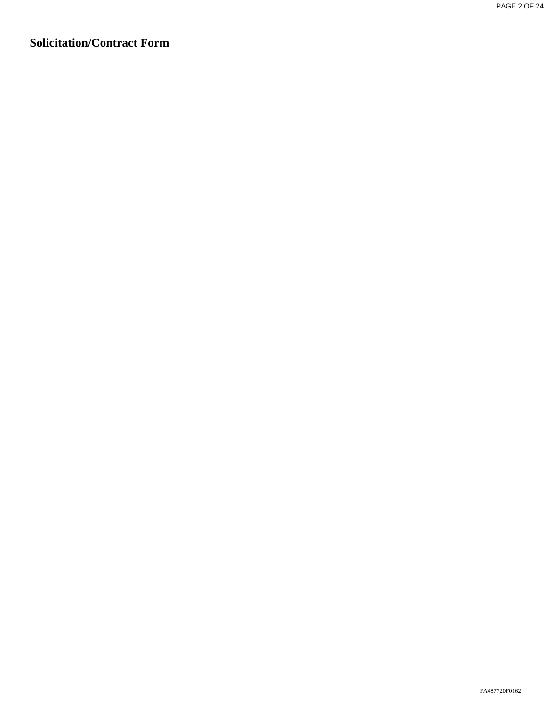# **Solicitation/Contract Form**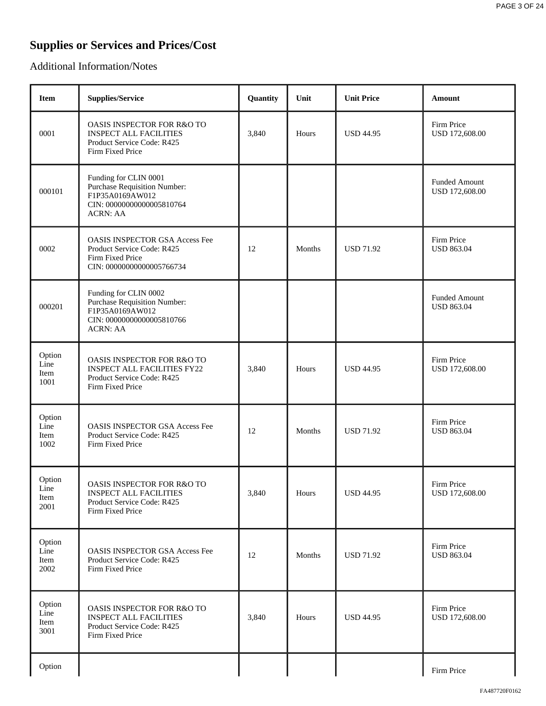# **Supplies or Services and Prices/Cost**

Additional Information/Notes

| <b>Item</b>                    | <b>Supplies/Service</b>                                                                                                         | Quantity | Unit   | <b>Unit Price</b> | Amount                                 |
|--------------------------------|---------------------------------------------------------------------------------------------------------------------------------|----------|--------|-------------------|----------------------------------------|
| 0001                           | OASIS INSPECTOR FOR R&O TO<br><b>INSPECT ALL FACILITIES</b><br>Product Service Code: R425<br>Firm Fixed Price                   | 3,840    | Hours  | <b>USD 44.95</b>  | Firm Price<br>USD 172,608.00           |
| 000101                         | Funding for CLIN 0001<br><b>Purchase Requisition Number:</b><br>F1P35A0169AW012<br>CIN: 00000000000005810764<br><b>ACRN: AA</b> |          |        |                   | <b>Funded Amount</b><br>USD 172,608.00 |
| 0002                           | <b>OASIS INSPECTOR GSA Access Fee</b><br>Product Service Code: R425<br>Firm Fixed Price<br>CIN: 00000000000005766734            | 12       | Months | <b>USD 71.92</b>  | Firm Price<br><b>USD 863.04</b>        |
| 000201                         | Funding for CLIN 0002<br><b>Purchase Requisition Number:</b><br>F1P35A0169AW012<br>CIN: 00000000000005810766<br><b>ACRN: AA</b> |          |        |                   | Funded Amount<br><b>USD 863.04</b>     |
| Option<br>Line<br>Item<br>1001 | OASIS INSPECTOR FOR R&O TO<br><b>INSPECT ALL FACILITIES FY22</b><br>Product Service Code: R425<br>Firm Fixed Price              | 3,840    | Hours  | <b>USD 44.95</b>  | Firm Price<br>USD 172,608.00           |
| Option<br>Line<br>Item<br>1002 | <b>OASIS INSPECTOR GSA Access Fee</b><br>Product Service Code: R425<br>Firm Fixed Price                                         | 12       | Months | <b>USD 71.92</b>  | Firm Price<br><b>USD 863.04</b>        |
| Option<br>Line<br>Item<br>2001 | <b>OASIS INSPECTOR FOR R&amp;O TO</b><br><b>INSPECT ALL FACILITIES</b><br>Product Service Code: R425<br>Firm Fixed Price        | 3,840    | Hours  | <b>USD 44.95</b>  | Firm Price<br>USD 172,608.00           |
| Option<br>Line<br>Item<br>2002 | <b>OASIS INSPECTOR GSA Access Fee</b><br>Product Service Code: R425<br>Firm Fixed Price                                         | 12       | Months | <b>USD 71.92</b>  | Firm Price<br><b>USD 863.04</b>        |
| Option<br>Line<br>Item<br>3001 | <b>OASIS INSPECTOR FOR R&amp;O TO</b><br><b>INSPECT ALL FACILITIES</b><br>Product Service Code: R425<br>Firm Fixed Price        | 3,840    | Hours  | <b>USD 44.95</b>  | Firm Price<br>USD 172,608.00           |
| Option                         |                                                                                                                                 |          |        |                   | Firm Price                             |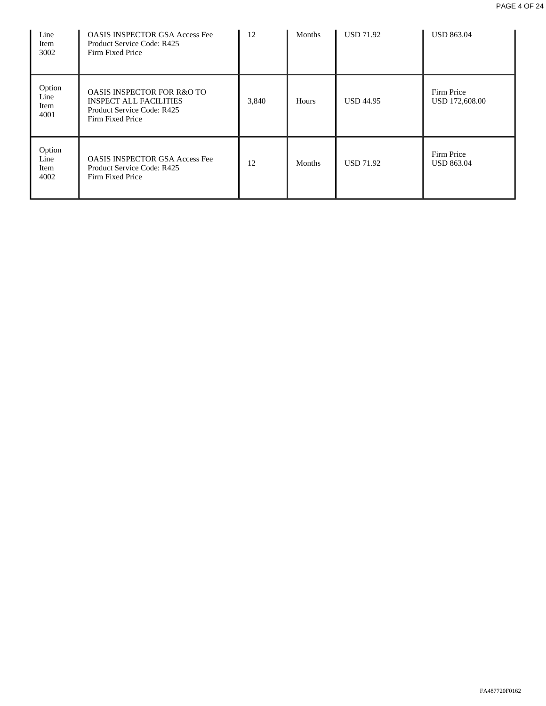| Line<br>Item<br>3002           | <b>OASIS INSPECTOR GSA Access Fee</b><br>Product Service Code: R425<br>Firm Fixed Price                                  | 12    | Months       | <b>USD 71.92</b> | <b>USD 863.04</b>               |
|--------------------------------|--------------------------------------------------------------------------------------------------------------------------|-------|--------------|------------------|---------------------------------|
| Option<br>Line<br>Item<br>4001 | <b>OASIS INSPECTOR FOR R&amp;O TO</b><br><b>INSPECT ALL FACILITIES</b><br>Product Service Code: R425<br>Firm Fixed Price | 3,840 | <b>Hours</b> | <b>USD 44.95</b> | Firm Price<br>USD 172,608.00    |
| Option<br>Line<br>Item<br>4002 | <b>OASIS INSPECTOR GSA Access Fee</b><br>Product Service Code: R425<br>Firm Fixed Price                                  | 12    | Months       | <b>USD 71.92</b> | Firm Price<br><b>USD 863.04</b> |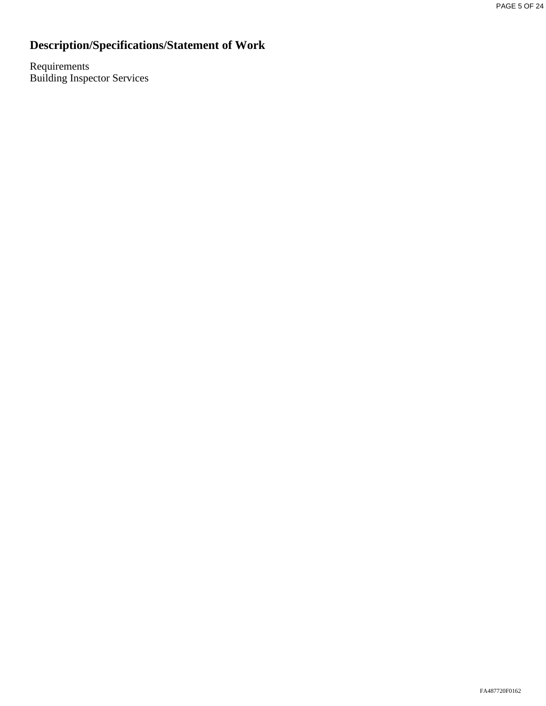# **Description/Specifications/Statement of Work**

Requirements Building Inspector Services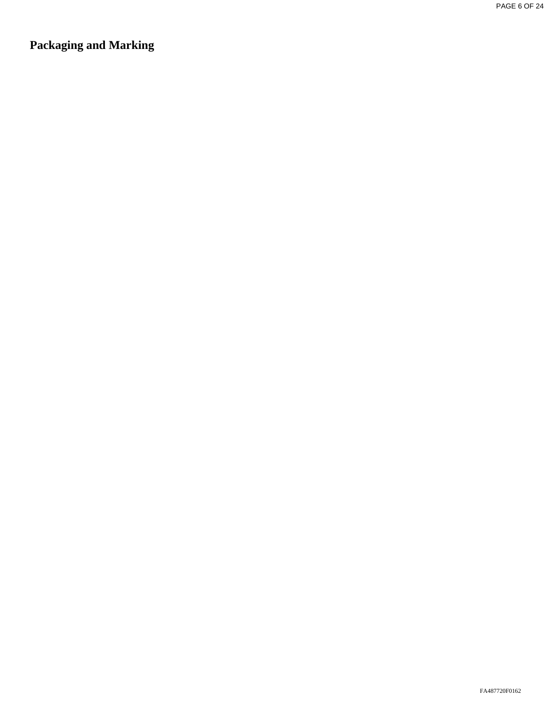**Packaging and Marking**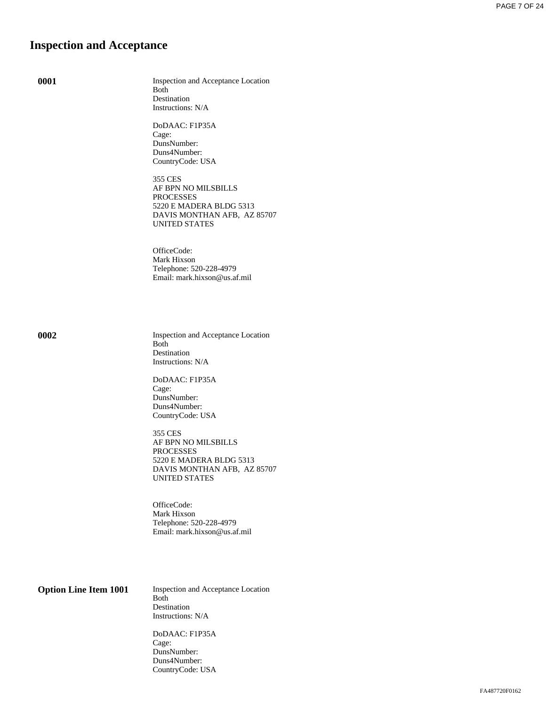## **Inspection and Acceptance**

**0001** Inspection and Acceptance Location Both Destination Instructions: N/A

> DoDAAC: F1P35A Cage: DunsNumber: Duns4Number: CountryCode: USA

355 CES AF BPN NO MILSBILLS PROCESSES 5220 E MADERA BLDG 5313 DAVIS MONTHAN AFB, AZ 85707 UNITED STATES

OfficeCode: Mark Hixson Telephone: 520-228-4979 Email: mark.hixson@us.af.mil

**0002** Inspection and Acceptance Location Both Destination Instructions: N/A

> DoDAAC: F1P35A Cage: DunsNumber: Duns4Number: CountryCode: USA

355 CES AF BPN NO MILSBILLS PROCESSES 5220 E MADERA BLDG 5313 DAVIS MONTHAN AFB, AZ 85707 UNITED STATES

OfficeCode: Mark Hixson Telephone: 520-228-4979 Email: mark.hixson@us.af.mil

**Option Line Item 1001** Inspection and Acceptance Location Both Destination Instructions: N/A

> DoDAAC: F1P35A Cage: DunsNumber: Duns4Number: CountryCode: USA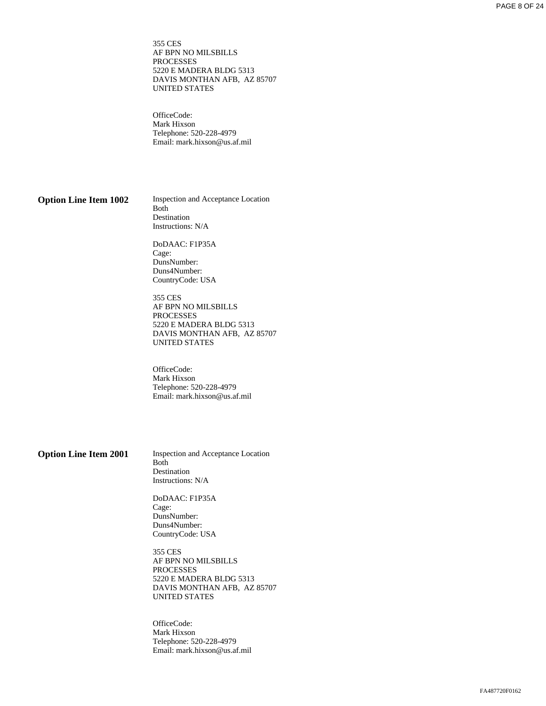355 CES AF BPN NO MILSBILLS PROCESSES 5220 E MADERA BLDG 5313 DAVIS MONTHAN AFB, AZ 85707 UNITED STATES

OfficeCode: Mark Hixson Telephone: 520-228-4979 Email: mark.hixson@us.af.mil

**Option Line Item 1002** Inspection and Acceptance Location Both Destination Instructions: N/A

> DoDAAC: F1P35A Cage: DunsNumber: Duns4Number: CountryCode: USA

355 CES AF BPN NO MILSBILLS PROCESSES 5220 E MADERA BLDG 5313 DAVIS MONTHAN AFB, AZ 85707 UNITED STATES

OfficeCode: Mark Hixson Telephone: 520-228-4979 Email: mark.hixson@us.af.mil

**Option Line Item 2001** Inspection and Acceptance Location Both Destination Instructions: N/A

> DoDAAC: F1P35A Cage: DunsNumber: Duns4Number: CountryCode: USA

355 CES AF BPN NO MILSBILLS **PROCESSES** 5220 E MADERA BLDG 5313 DAVIS MONTHAN AFB, AZ 85707 UNITED STATES

OfficeCode: Mark Hixson Telephone: 520-228-4979 Email: mark.hixson@us.af.mil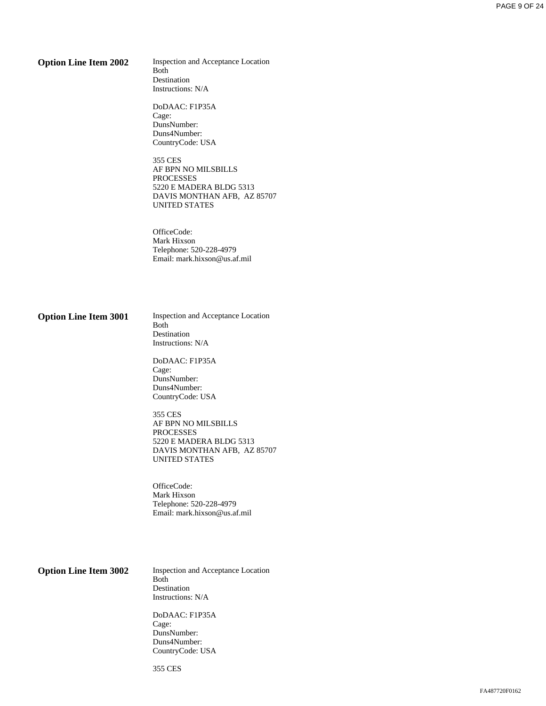**Option Line Item 2002** Inspection and Acceptance Location Both Destination Instructions: N/A

> DoDAAC: F1P35A Cage: DunsNumber: Duns4Number: CountryCode: USA

355 CES AF BPN NO MILSBILLS PROCESSES 5220 E MADERA BLDG 5313 DAVIS MONTHAN AFB, AZ 85707 UNITED STATES

OfficeCode: Mark Hixson Telephone: 520-228-4979 Email: mark.hixson@us.af.mil

**Option Line Item 3001** Inspection and Acceptance Location Both Destination Instructions: N/A

> DoDAAC: F1P35A Cage: DunsNumber: Duns4Number: CountryCode: USA

355 CES AF BPN NO MILSBILLS PROCESSES 5220 E MADERA BLDG 5313 DAVIS MONTHAN AFB, AZ 85707 UNITED STATES

OfficeCode: Mark Hixson Telephone: 520-228-4979 Email: mark.hixson@us.af.mil

**Option Line Item 3002** Inspection and Acceptance Location Both Destination Instructions: N/A

> DoDAAC: F1P35A Cage: DunsNumber: Duns4Number: CountryCode: USA

355 CES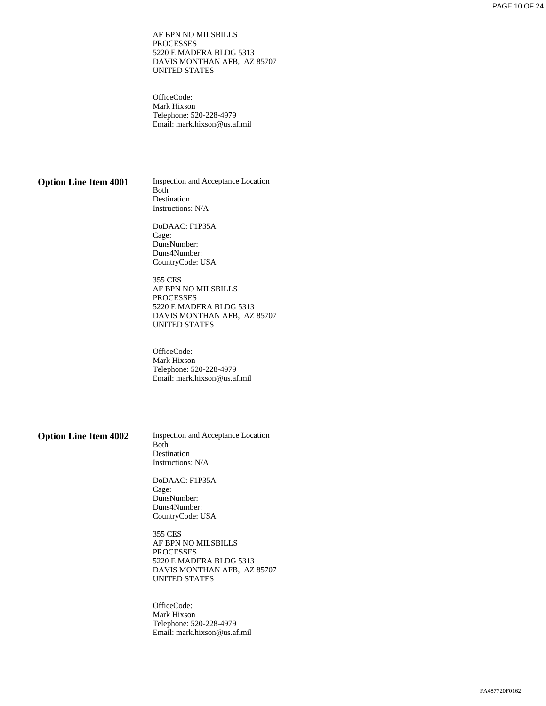AF BPN NO MILSBILLS PROCESSES 5220 E MADERA BLDG 5313 DAVIS MONTHAN AFB, AZ 85707 UNITED STATES

OfficeCode: Mark Hixson Telephone: 520-228-4979 Email: mark.hixson@us.af.mil

**Option Line Item 4001** Inspection and Acceptance Location Both Destination Instructions: N/A

> DoDAAC: F1P35A Cage: DunsNumber: Duns4Number: CountryCode: USA

355 CES AF BPN NO MILSBILLS PROCESSES 5220 E MADERA BLDG 5313 DAVIS MONTHAN AFB, AZ 85707 UNITED STATES

OfficeCode: Mark Hixson Telephone: 520-228-4979 Email: mark.hixson@us.af.mil

**Option Line Item 4002** Inspection and Acceptance Location Both Destination Instructions: N/A

> DoDAAC: F1P35A Cage: DunsNumber: Duns4Number: CountryCode: USA

355 CES AF BPN NO MILSBILLS PROCESSES 5220 E MADERA BLDG 5313 DAVIS MONTHAN AFB, AZ 85707 UNITED STATES

OfficeCode: Mark Hixson Telephone: 520-228-4979 Email: mark.hixson@us.af.mil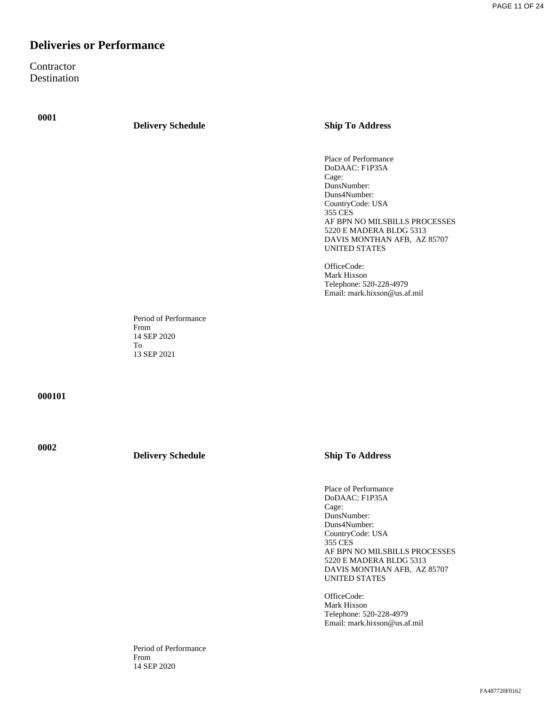# **Deliveries or Performance**

**Contractor** Destination

**0001**

#### **Delivery Schedule Ship To Address**

Place of Performance DoDAAC: F1P35A Cage: DunsNumber: Duns4Number: CountryCode: USA 355 CES AF BPN NO MILSBILLS PROCESSES 5220 E MADERA BLDG 5313 DAVIS MONTHAN AFB, AZ 85707 UNITED STATES

OfficeCode: Mark Hixson Telephone: 520-228-4979 Email: mark.hixson@us.af.mil

Period of Performance From 14 SEP 2020 To 13 SEP 2021

**000101**

**0002**

**Delivery Schedule Ship To Address**

Place of Performance DoDAAC: F1P35A Cage: DunsNumber: Duns4Number: CountryCode: USA 355 CES AF BPN NO MILSBILLS PROCESSES 5220 E MADERA BLDG 5313 DAVIS MONTHAN AFB, AZ 85707 UNITED STATES

OfficeCode: Mark Hixson Telephone: 520-228-4979 Email: mark.hixson@us.af.mil

Period of Performance From 14 SEP 2020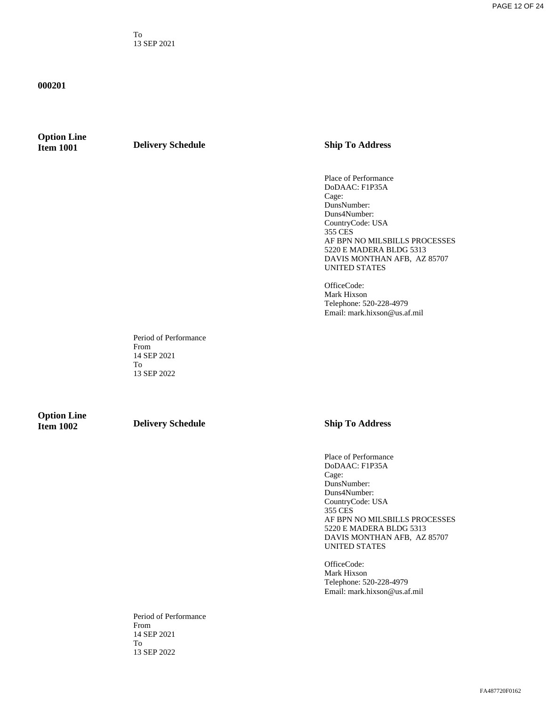To 13 SEP 2021

#### **000201**

# **Option Line**

**Industry Schedule Ship To Address** 

Place of Performance DoDAAC: F1P35A Cage: DunsNumber: Duns4Number: CountryCode: USA 355 CES AF BPN NO MILSBILLS PROCESSES 5220 E MADERA BLDG 5313 DAVIS MONTHAN AFB, AZ 85707 UNITED STATES

OfficeCode: Mark Hixson Telephone: 520-228-4979 Email: mark.hixson@us.af.mil

Period of Performance From 14 SEP 2021 To 13 SEP 2022

**Option Line** 

**Industry Schedule Ship To Address** 

Place of Performance DoDAAC: F1P35A Cage: DunsNumber: Duns4Number: CountryCode: USA 355 CES AF BPN NO MILSBILLS PROCESSES 5220 E MADERA BLDG 5313 DAVIS MONTHAN AFB, AZ 85707 UNITED STATES

OfficeCode: Mark Hixson Telephone: 520-228-4979 Email: mark.hixson@us.af.mil

Period of Performance From 14 SEP 2021 To 13 SEP 2022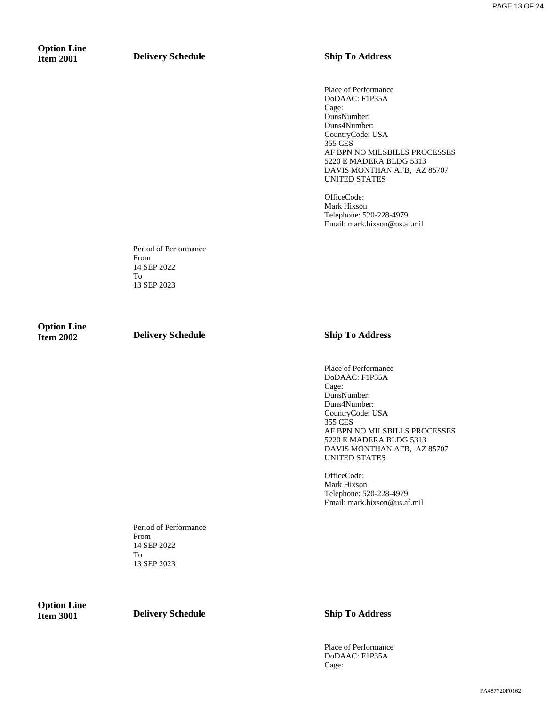# **Option Line**

**Item 2001 Delivery Schedule Ship To Address** 

Place of Performance DoDAAC: F1P35A Cage: DunsNumber: Duns4Number: CountryCode: USA 355 CES AF BPN NO MILSBILLS PROCESSES 5220 E MADERA BLDG 5313 DAVIS MONTHAN AFB, AZ 85707 UNITED STATES

OfficeCode: Mark Hixson Telephone: 520-228-4979 Email: mark.hixson@us.af.mil

Period of Performance From 14 SEP 2022 To 13 SEP 2023

**Option Line** 

**Item 2002 Delivery Schedule Ship To Address** 

Place of Performance DoDAAC: F1P35A Cage: DunsNumber: Duns4Number: CountryCode: USA 355 CES AF BPN NO MILSBILLS PROCESSES 5220 E MADERA BLDG 5313 DAVIS MONTHAN AFB, AZ 85707 UNITED STATES

OfficeCode: Mark Hixson Telephone: 520-228-4979 Email: mark.hixson@us.af.mil

Period of Performance From 14 SEP 2022 To 13 SEP 2023

**Option Line** 

**Industry Schedule Ship To Address** 

Place of Performance DoDAAC: F1P35A Cage: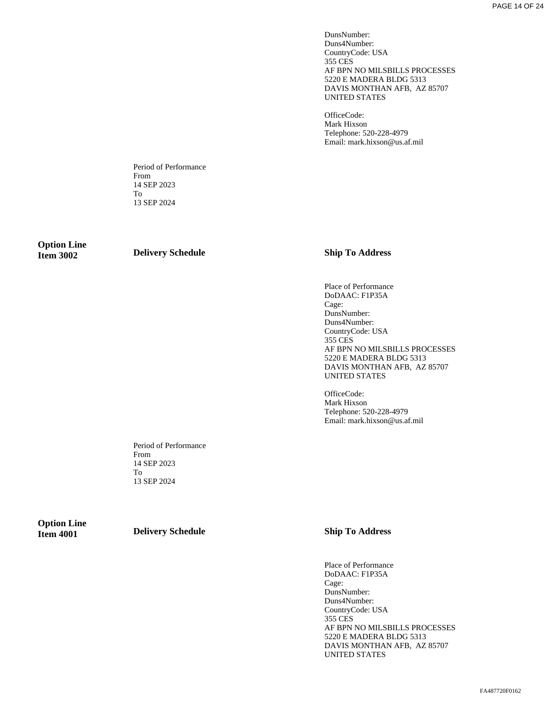DunsNumber: Duns4Number: CountryCode: USA 355 CES AF BPN NO MILSBILLS PROCESSES 5220 E MADERA BLDG 5313 DAVIS MONTHAN AFB, AZ 85707 UNITED STATES

OfficeCode: Mark Hixson Telephone: 520-228-4979 Email: mark.hixson@us.af.mil

Period of Performance From 14 SEP 2023 To 13 SEP 2024

**Option Line** 

**Item 3002 Delivery Schedule Ship To Address** 

Place of Performance DoDAAC: F1P35A Cage: DunsNumber: Duns4Number: CountryCode: USA 355 CES AF BPN NO MILSBILLS PROCESSES 5220 E MADERA BLDG 5313 DAVIS MONTHAN AFB, AZ 85707 UNITED STATES

OfficeCode: Mark Hixson Telephone: 520-228-4979 Email: mark.hixson@us.af.mil

Period of Performance From 14 SEP 2023 To 13 SEP 2024

**Option Line** 

**Item 4001 Delivery Schedule Ship To Address** 

Place of Performance DoDAAC: F1P35A Cage: DunsNumber: Duns4Number: CountryCode: USA 355 CES AF BPN NO MILSBILLS PROCESSES 5220 E MADERA BLDG 5313 DAVIS MONTHAN AFB, AZ 85707 UNITED STATES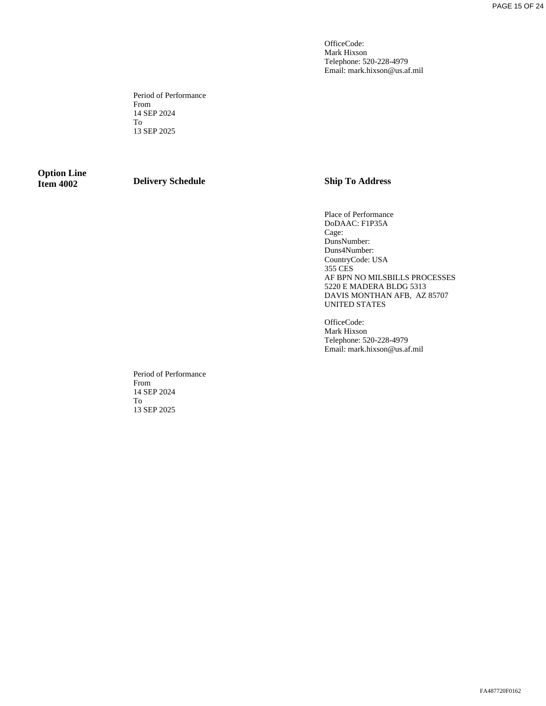OfficeCode: Mark Hixson Telephone: 520-228-4979 Email: mark.hixson@us.af.mil

Period of Performance From 14 SEP 2024 To 13 SEP 2025

# **Option Line**

**Industry Schedule Ship To Address** 

Place of Performance DoDAAC: F1P35A Cage: DunsNumber: Duns4Number: CountryCode: USA 355 CES AF BPN NO MILSBILLS PROCESSES 5220 E MADERA BLDG 5313 DAVIS MONTHAN AFB, AZ 85707 UNITED STATES

OfficeCode: Mark Hixson Telephone: 520-228-4979 Email: mark.hixson@us.af.mil

Period of Performance From 14 SEP 2024 To 13 SEP 2025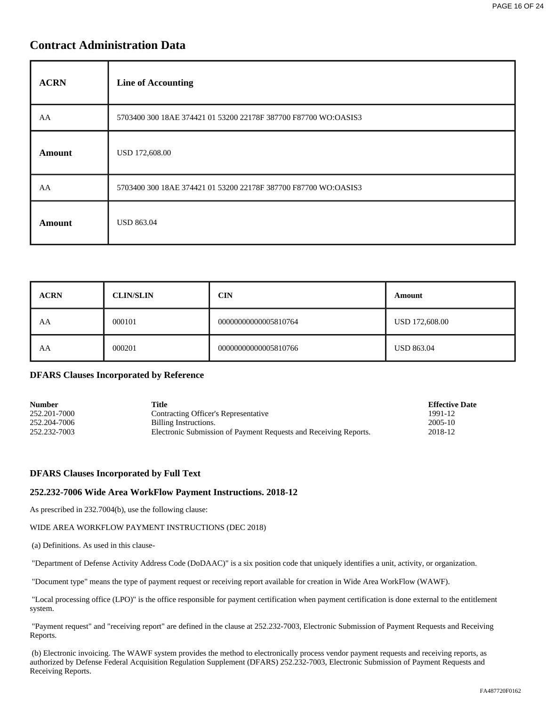# **Contract Administration Data**

| <b>ACRN</b>   | <b>Line of Accounting</b>                                       |
|---------------|-----------------------------------------------------------------|
| AA            | 5703400 300 18AE 374421 01 53200 22178F 387700 F87700 WO:OASIS3 |
| <b>Amount</b> | USD 172,608.00                                                  |
| AA            | 5703400 300 18AE 374421 01 53200 22178F 387700 F87700 WO:OASIS3 |
| Amount        | <b>USD 863.04</b>                                               |

| <b>ACRN</b> | <b>CLIN/SLIN</b> | <b>CIN</b>           | Amount         |
|-------------|------------------|----------------------|----------------|
| AA          | 000101           | 00000000000005810764 | USD 172,608.00 |
| AA          | 000201           | 00000000000005810766 | USD 863.04     |

### **DFARS Clauses Incorporated by Reference**

| <b>Number</b> | Title                                                            | <b>Effective Date</b> |
|---------------|------------------------------------------------------------------|-----------------------|
| 252.201-7000  | Contracting Officer's Representative                             | 1991-12               |
| 252.204-7006  | Billing Instructions.                                            | 2005-10               |
| 252.232-7003  | Electronic Submission of Payment Requests and Receiving Reports. | 2018-12               |

### **DFARS Clauses Incorporated by Full Text**

### **252.232-7006 Wide Area WorkFlow Payment Instructions. 2018-12**

As prescribed in 232.7004(b), use the following clause:

#### WIDE AREA WORKFLOW PAYMENT INSTRUCTIONS (DEC 2018)

(a) Definitions. As used in this clause-

"Department of Defense Activity Address Code (DoDAAC)" is a six position code that uniquely identifies a unit, activity, or organization.

"Document type" means the type of payment request or receiving report available for creation in Wide Area WorkFlow (WAWF).

 "Local processing office (LPO)" is the office responsible for payment certification when payment certification is done external to the entitlement system.

 "Payment request" and "receiving report" are defined in the clause at 252.232-7003, Electronic Submission of Payment Requests and Receiving Reports.

 (b) Electronic invoicing. The WAWF system provides the method to electronically process vendor payment requests and receiving reports, as authorized by Defense Federal Acquisition Regulation Supplement (DFARS) 252.232-7003, Electronic Submission of Payment Requests and Receiving Reports.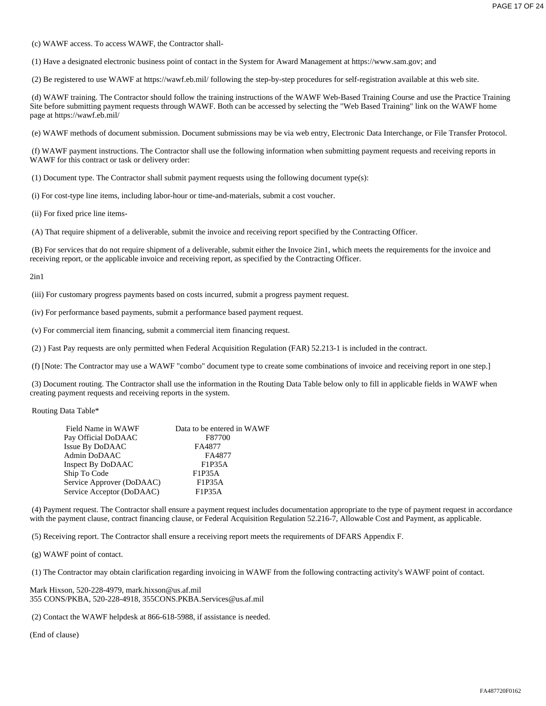(c) WAWF access. To access WAWF, the Contractor shall-

(1) Have a designated electronic business point of contact in the System for Award Management at https://www.sam.gov; and

(2) Be registered to use WAWF at https://wawf.eb.mil/ following the step-by-step procedures for self-registration available at this web site.

 (d) WAWF training. The Contractor should follow the training instructions of the WAWF Web-Based Training Course and use the Practice Training Site before submitting payment requests through WAWF. Both can be accessed by selecting the "Web Based Training" link on the WAWF home page at https://wawf.eb.mil/

(e) WAWF methods of document submission. Document submissions may be via web entry, Electronic Data Interchange, or File Transfer Protocol.

 (f) WAWF payment instructions. The Contractor shall use the following information when submitting payment requests and receiving reports in WAWF for this contract or task or delivery order:

(1) Document type. The Contractor shall submit payment requests using the following document type(s):

(i) For cost-type line items, including labor-hour or time-and-materials, submit a cost voucher.

(ii) For fixed price line items-

(A) That require shipment of a deliverable, submit the invoice and receiving report specified by the Contracting Officer.

 (B) For services that do not require shipment of a deliverable, submit either the Invoice 2in1, which meets the requirements for the invoice and receiving report, or the applicable invoice and receiving report, as specified by the Contracting Officer.

2in1

(iii) For customary progress payments based on costs incurred, submit a progress payment request.

(iv) For performance based payments, submit a performance based payment request.

(v) For commercial item financing, submit a commercial item financing request.

(2) ) Fast Pay requests are only permitted when Federal Acquisition Regulation (FAR) 52.213-1 is included in the contract.

(f) [Note: The Contractor may use a WAWF "combo" document type to create some combinations of invoice and receiving report in one step.]

 (3) Document routing. The Contractor shall use the information in the Routing Data Table below only to fill in applicable fields in WAWF when creating payment requests and receiving reports in the system.

Routing Data Table\*

| Field Name in WAWF        | Data to be entered in WAWF |
|---------------------------|----------------------------|
| Pay Official DoDAAC       | F87700                     |
| Issue By DoDAAC           | FA4877                     |
| Admin DoDAAC              | FA4877                     |
| Inspect By DoDAAC         | F1P35A                     |
| Ship To Code              | F1P35A                     |
| Service Approver (DoDAAC) | F1P35A                     |
| Service Acceptor (DoDAAC) | F1P35A                     |

 (4) Payment request. The Contractor shall ensure a payment request includes documentation appropriate to the type of payment request in accordance with the payment clause, contract financing clause, or Federal Acquisition Regulation 52.216-7, Allowable Cost and Payment, as applicable.

(5) Receiving report. The Contractor shall ensure a receiving report meets the requirements of DFARS Appendix F.

(g) WAWF point of contact.

(1) The Contractor may obtain clarification regarding invoicing in WAWF from the following contracting activity's WAWF point of contact.

Mark Hixson, 520-228-4979, mark.hixson@us.af.mil 355 CONS/PKBA, 520-228-4918, 355CONS.PKBA.Services@us.af.mil

(2) Contact the WAWF helpdesk at 866-618-5988, if assistance is needed.

(End of clause)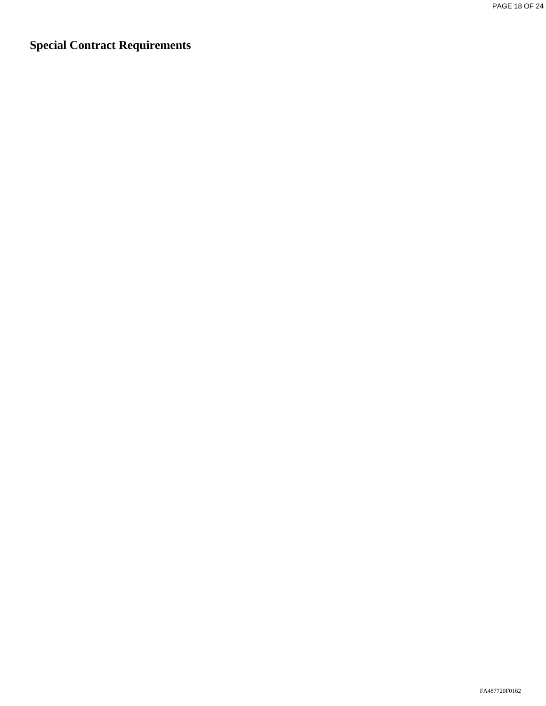**Special Contract Requirements**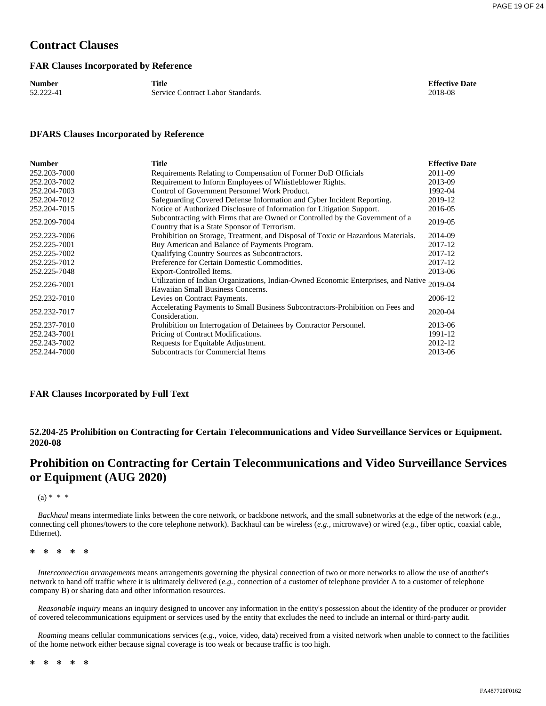# **Contract Clauses**

#### **FAR Clauses Incorporated by Reference**

| <b>Number</b> | Title                             | <b>Effective Date</b> |
|---------------|-----------------------------------|-----------------------|
| 52.222-41     | Service Contract Labor Standards. | 2018-08               |
|               |                                   |                       |

#### **DFARS Clauses Incorporated by Reference**

| 2011-09<br>Requirements Relating to Compensation of Former DoD Officials<br>Requirement to Inform Employees of Whistleblower Rights.<br>2013-09<br>Control of Government Personnel Work Product.<br>1992-04<br>Safeguarding Covered Defense Information and Cyber Incident Reporting.<br>2019-12<br>Notice of Authorized Disclosure of Information for Litigation Support.<br>2016-05<br>Subcontracting with Firms that are Owned or Controlled by the Government of a<br>2019-05<br>Country that is a State Sponsor of Terrorism.<br>Prohibition on Storage, Treatment, and Disposal of Toxic or Hazardous Materials.<br>2014-09<br>Buy American and Balance of Payments Program.<br>2017-12<br>Qualifying Country Sources as Subcontractors.<br>2017-12<br>Preference for Certain Domestic Commodities.<br>2017-12<br>2013-06<br>Export-Controlled Items.<br>Utilization of Indian Organizations, Indian-Owned Economic Enterprises, and Native<br>2019-04<br>Hawaiian Small Business Concerns.<br>2006-12<br>Levies on Contract Payments.<br>Accelerating Payments to Small Business Subcontractors-Prohibition on Fees and<br>2020-04<br>Consideration.<br>Prohibition on Interrogation of Detainees by Contractor Personnel.<br>2013-06<br>Pricing of Contract Modifications.<br>1991-12<br>Requests for Equitable Adjustment.<br>2012-12<br><b>Subcontracts for Commercial Items</b><br>2013-06 | <b>Number</b> | <b>Title</b> | <b>Effective Date</b> |
|-------------------------------------------------------------------------------------------------------------------------------------------------------------------------------------------------------------------------------------------------------------------------------------------------------------------------------------------------------------------------------------------------------------------------------------------------------------------------------------------------------------------------------------------------------------------------------------------------------------------------------------------------------------------------------------------------------------------------------------------------------------------------------------------------------------------------------------------------------------------------------------------------------------------------------------------------------------------------------------------------------------------------------------------------------------------------------------------------------------------------------------------------------------------------------------------------------------------------------------------------------------------------------------------------------------------------------------------------------------------------------------------------------|---------------|--------------|-----------------------|
|                                                                                                                                                                                                                                                                                                                                                                                                                                                                                                                                                                                                                                                                                                                                                                                                                                                                                                                                                                                                                                                                                                                                                                                                                                                                                                                                                                                                       | 252.203-7000  |              |                       |
|                                                                                                                                                                                                                                                                                                                                                                                                                                                                                                                                                                                                                                                                                                                                                                                                                                                                                                                                                                                                                                                                                                                                                                                                                                                                                                                                                                                                       | 252.203-7002  |              |                       |
|                                                                                                                                                                                                                                                                                                                                                                                                                                                                                                                                                                                                                                                                                                                                                                                                                                                                                                                                                                                                                                                                                                                                                                                                                                                                                                                                                                                                       | 252.204-7003  |              |                       |
|                                                                                                                                                                                                                                                                                                                                                                                                                                                                                                                                                                                                                                                                                                                                                                                                                                                                                                                                                                                                                                                                                                                                                                                                                                                                                                                                                                                                       | 252.204-7012  |              |                       |
|                                                                                                                                                                                                                                                                                                                                                                                                                                                                                                                                                                                                                                                                                                                                                                                                                                                                                                                                                                                                                                                                                                                                                                                                                                                                                                                                                                                                       | 252.204-7015  |              |                       |
|                                                                                                                                                                                                                                                                                                                                                                                                                                                                                                                                                                                                                                                                                                                                                                                                                                                                                                                                                                                                                                                                                                                                                                                                                                                                                                                                                                                                       | 252.209-7004  |              |                       |
|                                                                                                                                                                                                                                                                                                                                                                                                                                                                                                                                                                                                                                                                                                                                                                                                                                                                                                                                                                                                                                                                                                                                                                                                                                                                                                                                                                                                       | 252.223-7006  |              |                       |
|                                                                                                                                                                                                                                                                                                                                                                                                                                                                                                                                                                                                                                                                                                                                                                                                                                                                                                                                                                                                                                                                                                                                                                                                                                                                                                                                                                                                       | 252.225-7001  |              |                       |
|                                                                                                                                                                                                                                                                                                                                                                                                                                                                                                                                                                                                                                                                                                                                                                                                                                                                                                                                                                                                                                                                                                                                                                                                                                                                                                                                                                                                       | 252.225-7002  |              |                       |
|                                                                                                                                                                                                                                                                                                                                                                                                                                                                                                                                                                                                                                                                                                                                                                                                                                                                                                                                                                                                                                                                                                                                                                                                                                                                                                                                                                                                       | 252.225-7012  |              |                       |
|                                                                                                                                                                                                                                                                                                                                                                                                                                                                                                                                                                                                                                                                                                                                                                                                                                                                                                                                                                                                                                                                                                                                                                                                                                                                                                                                                                                                       | 252.225-7048  |              |                       |
|                                                                                                                                                                                                                                                                                                                                                                                                                                                                                                                                                                                                                                                                                                                                                                                                                                                                                                                                                                                                                                                                                                                                                                                                                                                                                                                                                                                                       | 252.226-7001  |              |                       |
|                                                                                                                                                                                                                                                                                                                                                                                                                                                                                                                                                                                                                                                                                                                                                                                                                                                                                                                                                                                                                                                                                                                                                                                                                                                                                                                                                                                                       | 252.232-7010  |              |                       |
|                                                                                                                                                                                                                                                                                                                                                                                                                                                                                                                                                                                                                                                                                                                                                                                                                                                                                                                                                                                                                                                                                                                                                                                                                                                                                                                                                                                                       | 252.232-7017  |              |                       |
|                                                                                                                                                                                                                                                                                                                                                                                                                                                                                                                                                                                                                                                                                                                                                                                                                                                                                                                                                                                                                                                                                                                                                                                                                                                                                                                                                                                                       | 252.237-7010  |              |                       |
|                                                                                                                                                                                                                                                                                                                                                                                                                                                                                                                                                                                                                                                                                                                                                                                                                                                                                                                                                                                                                                                                                                                                                                                                                                                                                                                                                                                                       | 252.243-7001  |              |                       |
|                                                                                                                                                                                                                                                                                                                                                                                                                                                                                                                                                                                                                                                                                                                                                                                                                                                                                                                                                                                                                                                                                                                                                                                                                                                                                                                                                                                                       | 252.243-7002  |              |                       |
|                                                                                                                                                                                                                                                                                                                                                                                                                                                                                                                                                                                                                                                                                                                                                                                                                                                                                                                                                                                                                                                                                                                                                                                                                                                                                                                                                                                                       | 252.244-7000  |              |                       |

#### **FAR Clauses Incorporated by Full Text**

**52.204-25 Prohibition on Contracting for Certain Telecommunications and Video Surveillance Services or Equipment. 2020-08**

# **Prohibition on Contracting for Certain Telecommunications and Video Surveillance Services or Equipment (AUG 2020)**

 $(a) * * * *$ 

*Backhaul* means intermediate links between the core network, or backbone network, and the small subnetworks at the edge of the network (*e.g.,* connecting cell phones/towers to the core telephone network). Backhaul can be wireless (*e.g.,* microwave) or wired (*e.g.,* fiber optic, coaxial cable, Ethernet).

#### **\* \* \* \* \***

*Interconnection arrangements* means arrangements governing the physical connection of two or more networks to allow the use of another's network to hand off traffic where it is ultimately delivered (*e.g.,* connection of a customer of telephone provider A to a customer of telephone company B) or sharing data and other information resources.

*Reasonable inquiry* means an inquiry designed to uncover any information in the entity's possession about the identity of the producer or provider of covered telecommunications equipment or services used by the entity that excludes the need to include an internal or third-party audit.

*Roaming* means cellular communications services (*e.g.,* voice, video, data) received from a visited network when unable to connect to the facilities of the home network either because signal coverage is too weak or because traffic is too high.

**\* \* \* \* \***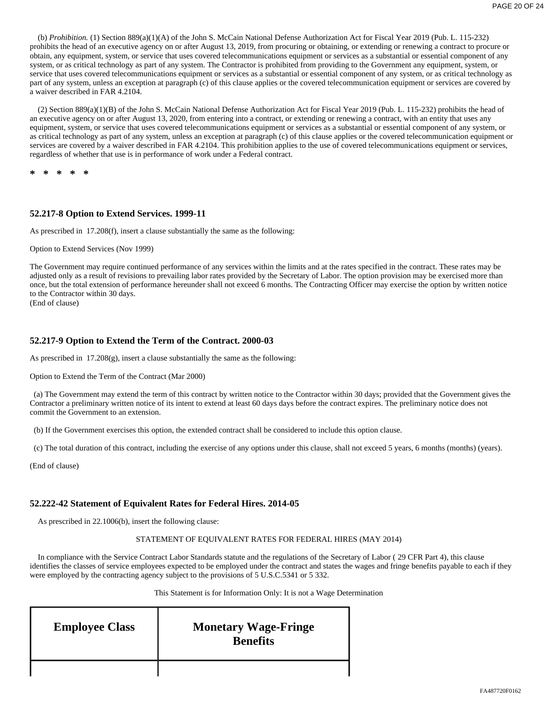(b) *Prohibition.* (1) Section 889(a)(1)(A) of the John S. McCain National Defense Authorization Act for Fiscal Year 2019 (Pub. L. 115-232) prohibits the head of an executive agency on or after August 13, 2019, from procuring or obtaining, or extending or renewing a contract to procure or obtain, any equipment, system, or service that uses covered telecommunications equipment or services as a substantial or essential component of any system, or as critical technology as part of any system. The Contractor is prohibited from providing to the Government any equipment, system, or service that uses covered telecommunications equipment or services as a substantial or essential component of any system, or as critical technology as part of any system, unless an exception at paragraph (c) of this clause applies or the covered telecommunication equipment or services are covered by a waiver described in FAR 4.2104.

(2) Section 889(a)(1)(B) of the John S. McCain National Defense Authorization Act for Fiscal Year 2019 (Pub. L. 115-232) prohibits the head of an executive agency on or after August 13, 2020, from entering into a contract, or extending or renewing a contract, with an entity that uses any equipment, system, or service that uses covered telecommunications equipment or services as a substantial or essential component of any system, or as critical technology as part of any system, unless an exception at paragraph (c) of this clause applies or the covered telecommunication equipment or services are covered by a waiver described in FAR 4.2104. This prohibition applies to the use of covered telecommunications equipment or services, regardless of whether that use is in performance of work under a Federal contract.

**\* \* \* \* \***

### **52.217-8 Option to Extend Services. 1999-11**

As prescribed in 17.208(f), insert a clause substantially the same as the following:

#### Option to Extend Services (Nov 1999)

The Government may require continued performance of any services within the limits and at the rates specified in the contract. These rates may be adjusted only as a result of revisions to prevailing labor rates provided by the Secretary of Labor. The option provision may be exercised more than once, but the total extension of performance hereunder shall not exceed 6 months. The Contracting Officer may exercise the option by written notice to the Contractor within 30 days.

(End of clause)

#### **52.217-9 Option to Extend the Term of the Contract. 2000-03**

As prescribed in 17.208(g), insert a clause substantially the same as the following:

Option to Extend the Term of the Contract (Mar 2000)

 (a) The Government may extend the term of this contract by written notice to the Contractor within 30 days; provided that the Government gives the Contractor a preliminary written notice of its intent to extend at least 60 days days before the contract expires. The preliminary notice does not commit the Government to an extension.

(b) If the Government exercises this option, the extended contract shall be considered to include this option clause.

(c) The total duration of this contract, including the exercise of any options under this clause, shall not exceed 5 years, 6 months (months) (years).

(End of clause)

#### **52.222-42 Statement of Equivalent Rates for Federal Hires. 2014-05**

As prescribed in 22.1006(b), insert the following clause:

#### STATEMENT OF EQUIVALENT RATES FOR FEDERAL HIRES (MAY 2014)

In compliance with the Service Contract Labor Standards statute and the regulations of the Secretary of Labor ( 29 CFR Part 4), this clause identifies the classes of service employees expected to be employed under the contract and states the wages and fringe benefits payable to each if they were employed by the contracting agency subject to the provisions of 5 U.S.C.5341 or 5 332.

#### This Statement is for Information Only: It is not a Wage Determination

| <b>Employee Class</b> | <b>Monetary Wage-Fringe</b><br><b>Benefits</b> |
|-----------------------|------------------------------------------------|
|                       |                                                |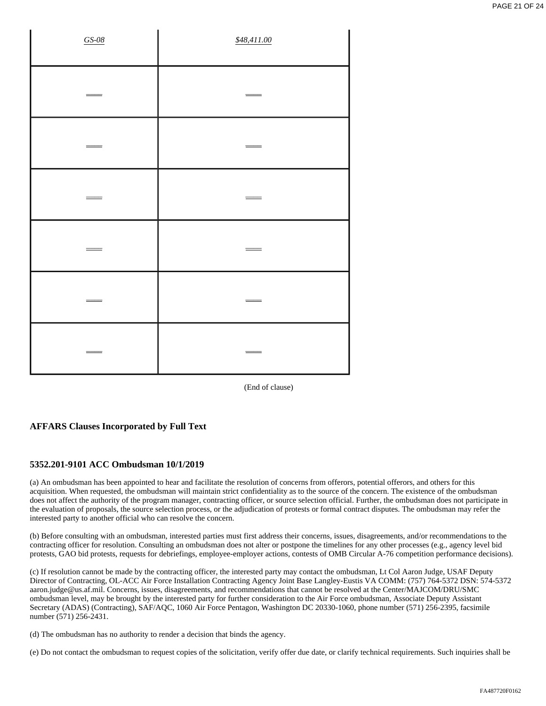| $GS-08$                  | \$48,411.00 |
|--------------------------|-------------|
| $\overline{\phantom{0}}$ | $=$<br>=    |
|                          |             |
| Ξ                        | Ξ           |
|                          |             |
| =                        | =           |
|                          |             |

(End of clause)

### **AFFARS Clauses Incorporated by Full Text**

### **5352.201-9101 ACC Ombudsman 10/1/2019**

(a) An ombudsman has been appointed to hear and facilitate the resolution of concerns from offerors, potential offerors, and others for this acquisition. When requested, the ombudsman will maintain strict confidentiality as to the source of the concern. The existence of the ombudsman does not affect the authority of the program manager, contracting officer, or source selection official. Further, the ombudsman does not participate in the evaluation of proposals, the source selection process, or the adjudication of protests or formal contract disputes. The ombudsman may refer the interested party to another official who can resolve the concern.

(b) Before consulting with an ombudsman, interested parties must first address their concerns, issues, disagreements, and/or recommendations to the contracting officer for resolution. Consulting an ombudsman does not alter or postpone the timelines for any other processes (e.g., agency level bid protests, GAO bid protests, requests for debriefings, employee-employer actions, contests of OMB Circular A-76 competition performance decisions).

(c) If resolution cannot be made by the contracting officer, the interested party may contact the ombudsman, Lt Col Aaron Judge, USAF Deputy Director of Contracting, OL-ACC Air Force Installation Contracting Agency Joint Base Langley-Eustis VA COMM: (757) 764-5372 DSN: 574-5372 aaron.judge@us.af.mil. Concerns, issues, disagreements, and recommendations that cannot be resolved at the Center/MAJCOM/DRU/SMC ombudsman level, may be brought by the interested party for further consideration to the Air Force ombudsman, Associate Deputy Assistant Secretary (ADAS) (Contracting), SAF/AQC, 1060 Air Force Pentagon, Washington DC 20330-1060, phone number (571) 256-2395, facsimile number (571) 256-2431.

(d) The ombudsman has no authority to render a decision that binds the agency.

(e) Do not contact the ombudsman to request copies of the solicitation, verify offer due date, or clarify technical requirements. Such inquiries shall be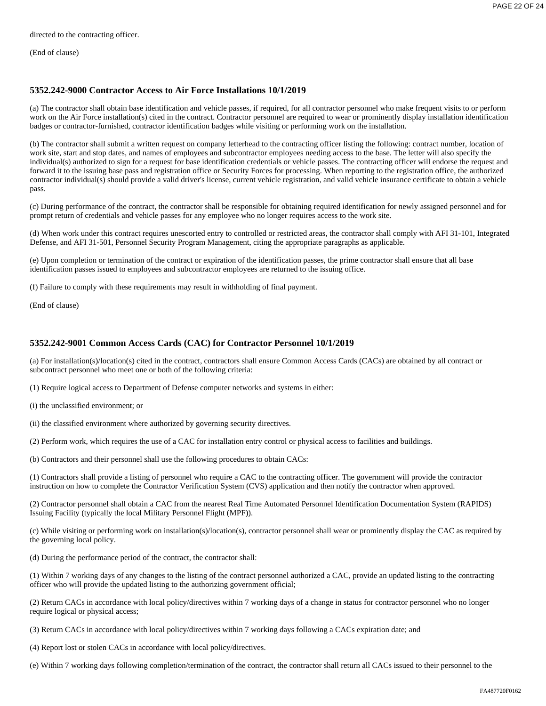directed to the contracting officer.

(End of clause)

### **5352.242-9000 Contractor Access to Air Force Installations 10/1/2019**

(a) The contractor shall obtain base identification and vehicle passes, if required, for all contractor personnel who make frequent visits to or perform work on the Air Force installation(s) cited in the contract. Contractor personnel are required to wear or prominently display installation identification badges or contractor-furnished, contractor identification badges while visiting or performing work on the installation.

(b) The contractor shall submit a written request on company letterhead to the contracting officer listing the following: contract number, location of work site, start and stop dates, and names of employees and subcontractor employees needing access to the base. The letter will also specify the individual(s) authorized to sign for a request for base identification credentials or vehicle passes. The contracting officer will endorse the request and forward it to the issuing base pass and registration office or Security Forces for processing. When reporting to the registration office, the authorized contractor individual(s) should provide a valid driver's license, current vehicle registration, and valid vehicle insurance certificate to obtain a vehicle pass.

(c) During performance of the contract, the contractor shall be responsible for obtaining required identification for newly assigned personnel and for prompt return of credentials and vehicle passes for any employee who no longer requires access to the work site.

(d) When work under this contract requires unescorted entry to controlled or restricted areas, the contractor shall comply with AFI 31-101, Integrated Defense, and AFI 31-501, Personnel Security Program Management, citing the appropriate paragraphs as applicable.

(e) Upon completion or termination of the contract or expiration of the identification passes, the prime contractor shall ensure that all base identification passes issued to employees and subcontractor employees are returned to the issuing office.

(f) Failure to comply with these requirements may result in withholding of final payment.

(End of clause)

#### **5352.242-9001 Common Access Cards (CAC) for Contractor Personnel 10/1/2019**

(a) For installation(s)/location(s) cited in the contract, contractors shall ensure Common Access Cards (CACs) are obtained by all contract or subcontract personnel who meet one or both of the following criteria:

(1) Require logical access to Department of Defense computer networks and systems in either:

(i) the unclassified environment; or

(ii) the classified environment where authorized by governing security directives.

(2) Perform work, which requires the use of a CAC for installation entry control or physical access to facilities and buildings.

(b) Contractors and their personnel shall use the following procedures to obtain CACs:

(1) Contractors shall provide a listing of personnel who require a CAC to the contracting officer. The government will provide the contractor instruction on how to complete the Contractor Verification System (CVS) application and then notify the contractor when approved.

(2) Contractor personnel shall obtain a CAC from the nearest Real Time Automated Personnel Identification Documentation System (RAPIDS) Issuing Facility (typically the local Military Personnel Flight (MPF)).

(c) While visiting or performing work on installation(s)/location(s), contractor personnel shall wear or prominently display the CAC as required by the governing local policy.

(d) During the performance period of the contract, the contractor shall:

(1) Within 7 working days of any changes to the listing of the contract personnel authorized a CAC, provide an updated listing to the contracting officer who will provide the updated listing to the authorizing government official;

(2) Return CACs in accordance with local policy/directives within 7 working days of a change in status for contractor personnel who no longer require logical or physical access;

(3) Return CACs in accordance with local policy/directives within 7 working days following a CACs expiration date; and

(4) Report lost or stolen CACs in accordance with local policy/directives.

(e) Within 7 working days following completion/termination of the contract, the contractor shall return all CACs issued to their personnel to the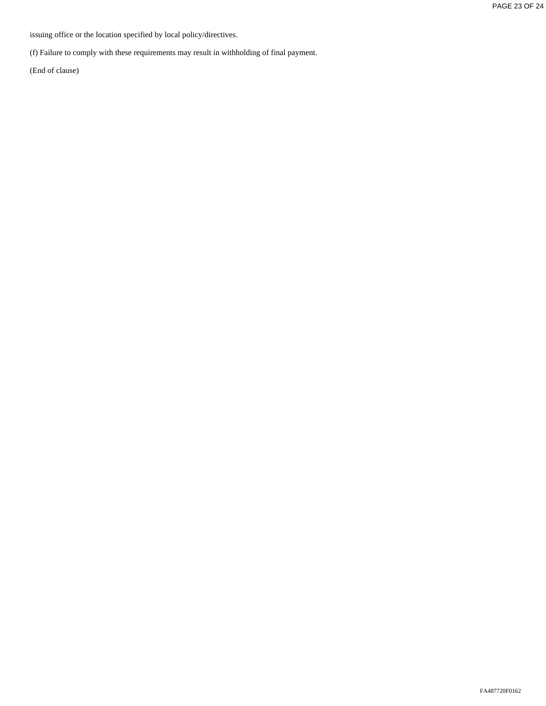issuing office or the location specified by local policy/directives.

(f) Failure to comply with these requirements may result in withholding of final payment.

(End of clause)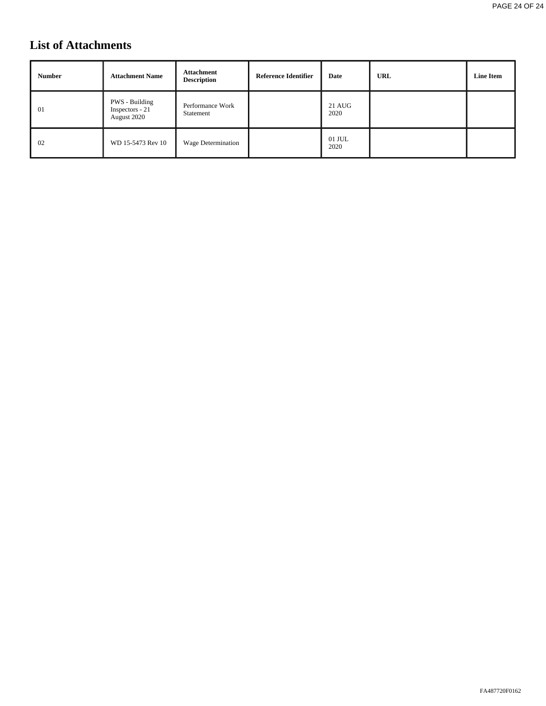# **List of Attachments**

| <b>Number</b> | <b>Attachment Name</b>                           | Attachment<br><b>Description</b> | Reference Identifier | Date           | <b>URL</b> | <b>Line Item</b> |
|---------------|--------------------------------------------------|----------------------------------|----------------------|----------------|------------|------------------|
| 01            | PWS - Building<br>Inspectors - 21<br>August 2020 | Performance Work<br>Statement    |                      | 21 AUG<br>2020 |            |                  |
| 02            | WD 15-5473 Rev 10                                | Wage Determination               |                      | 01 JUL<br>2020 |            |                  |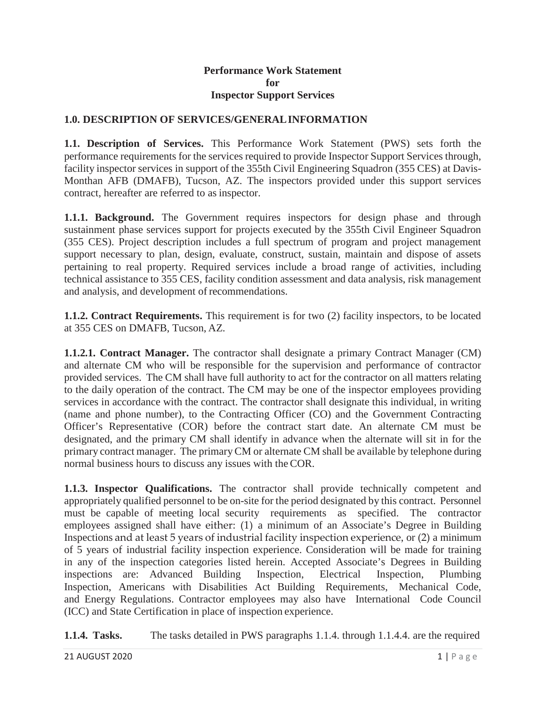### **Performance Work Statement for Inspector Support Services**

# **1.0. DESCRIPTION OF SERVICES/GENERALINFORMATION**

**1.1. Description of Services.** This Performance Work Statement (PWS) sets forth the performance requirements for the services required to provide Inspector Support Services through, facility inspector services in support of the 355th Civil Engineering Squadron (355 CES) at Davis-Monthan AFB (DMAFB), Tucson, AZ. The inspectors provided under this support services contract, hereafter are referred to as inspector.

**1.1.1. Background.** The Government requires inspectors for design phase and through sustainment phase services support for projects executed by the 355th Civil Engineer Squadron (355 CES). Project description includes a full spectrum of program and project management support necessary to plan, design, evaluate, construct, sustain, maintain and dispose of assets pertaining to real property. Required services include a broad range of activities, including technical assistance to 355 CES, facility condition assessment and data analysis, risk management and analysis, and development of recommendations.

**1.1.2. Contract Requirements.** This requirement is for two (2) facility inspectors, to be located at 355 CES on DMAFB, Tucson, AZ.

**1.1.2.1. Contract Manager.** The contractor shall designate a primary Contract Manager (CM) and alternate CM who will be responsible for the supervision and performance of contractor provided services. The CM shall have full authority to act for the contractor on all matters relating to the daily operation of the contract. The CM may be one of the inspector employees providing services in accordance with the contract. The contractor shall designate this individual, in writing (name and phone number), to the Contracting Officer (CO) and the Government Contracting Officer's Representative (COR) before the contract start date. An alternate CM must be designated, and the primary CM shall identify in advance when the alternate will sit in for the primary contract manager. The primaryCM or alternate CM shall be available by telephone during normal business hours to discuss any issues with theCOR.

**1.1.3. Inspector Qualifications.** The contractor shall provide technically competent and appropriately qualified personnel to be on-site for the period designated by this contract. Personnel must be capable of meeting local security requirements as specified. The contractor employees assigned shall have either: (1) a minimum of an Associate's Degree in Building Inspections and at least 5 years of industrial facility inspection experience, or (2) a minimum of 5 years of industrial facility inspection experience. Consideration will be made for training in any of the inspection categories listed herein. Accepted Associate's Degrees in Building inspections are: Advanced Building Inspection, Electrical Inspection, Plumbing Inspection, Americans with Disabilities Act Building Requirements, Mechanical Code, and Energy Regulations. Contractor employees may also have International Code Council (ICC) and State Certification in place of inspection experience.

**1.1.4. Tasks.** The tasks detailed in PWS paragraphs 1.1.4. through 1.1.4.4. are the required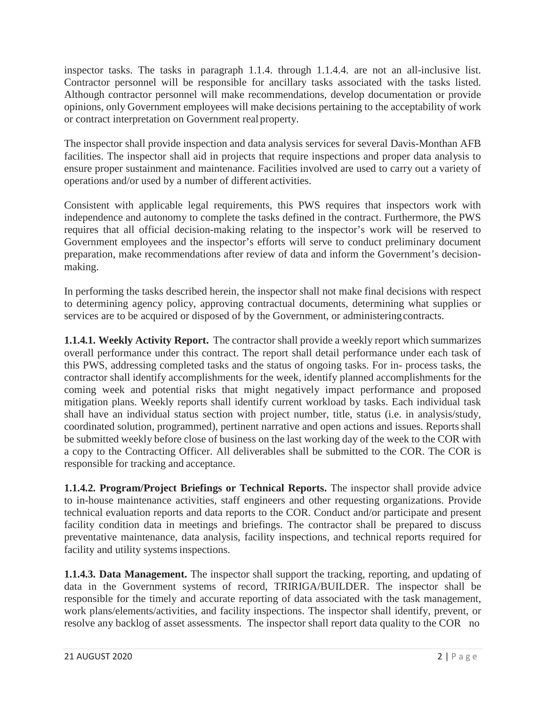inspector tasks. The tasks in paragraph 1.1.4. through 1.1.4.4. are not an all-inclusive list. Contractor personnel will be responsible for ancillary tasks associated with the tasks listed. Although contractor personnel will make recommendations, develop documentation or provide opinions, only Government employees will make decisions pertaining to the acceptability of work or contract interpretation on Government realproperty.

The inspector shall provide inspection and data analysis services for several Davis-Monthan AFB facilities. The inspector shall aid in projects that require inspections and proper data analysis to ensure proper sustainment and maintenance. Facilities involved are used to carry out a variety of operations and/or used by a number of different activities.

Consistent with applicable legal requirements, this PWS requires that inspectors work with independence and autonomy to complete the tasks defined in the contract. Furthermore, the PWS requires that all official decision-making relating to the inspector's work will be reserved to Government employees and the inspector's efforts will serve to conduct preliminary document preparation, make recommendations after review of data and inform the Government's decisionmaking.

In performing the tasks described herein, the inspector shall not make final decisions with respect to determining agency policy, approving contractual documents, determining what supplies or services are to be acquired or disposed of by the Government, or administering contracts.

**1.1.4.1. Weekly Activity Report.** The contractor shall provide a weekly report which summarizes overall performance under this contract. The report shall detail performance under each task of this PWS, addressing completed tasks and the status of ongoing tasks. For in- process tasks, the contractor shall identify accomplishments for the week, identify planned accomplishments for the coming week and potential risks that might negatively impact performance and proposed mitigation plans. Weekly reports shall identify current workload by tasks. Each individual task shall have an individual status section with project number, title, status (i.e. in analysis/study, coordinated solution, programmed), pertinent narrative and open actions and issues. Reportsshall be submitted weekly before close of business on the last working day of the week to the COR with a copy to the Contracting Officer. All deliverables shall be submitted to the COR. The COR is responsible for tracking and acceptance.

**1.1.4.2. Program/Project Briefings or Technical Reports.** The inspector shall provide advice to in-house maintenance activities, staff engineers and other requesting organizations. Provide technical evaluation reports and data reports to the COR. Conduct and/or participate and present facility condition data in meetings and briefings. The contractor shall be prepared to discuss preventative maintenance, data analysis, facility inspections, and technical reports required for facility and utility systems inspections.

**1.1.4.3. Data Management.** The inspector shall support the tracking, reporting, and updating of data in the Government systems of record, TRIRIGA/BUILDER. The inspector shall be responsible for the timely and accurate reporting of data associated with the task management, work plans/elements/activities, and facility inspections. The inspector shall identify, prevent, or resolve any backlog of asset assessments. The inspector shall report data quality to the COR no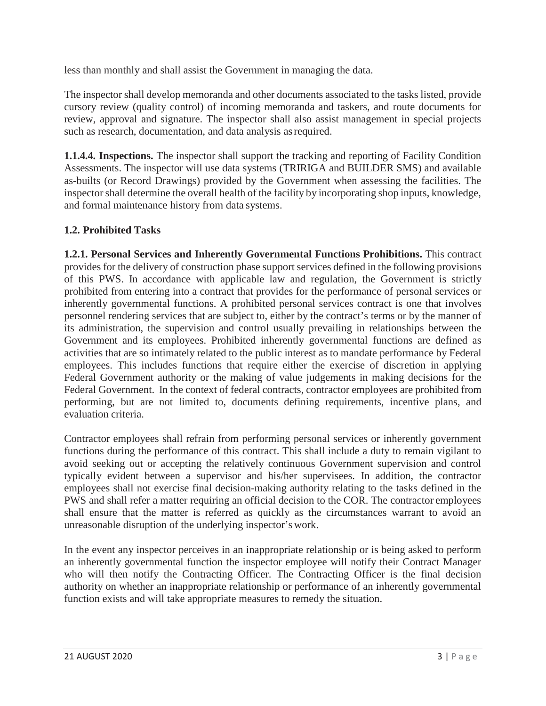less than monthly and shall assist the Government in managing the data.

The inspector shall develop memoranda and other documents associated to the tasks listed, provide cursory review (quality control) of incoming memoranda and taskers, and route documents for review, approval and signature. The inspector shall also assist management in special projects such as research, documentation, and data analysis as required.

**1.1.4.4. Inspections.** The inspector shall support the tracking and reporting of Facility Condition Assessments. The inspector will use data systems (TRIRIGA and BUILDER SMS) and available as-builts (or Record Drawings) provided by the Government when assessing the facilities. The inspectorshall determine the overall health of the facility by incorporating shop inputs, knowledge, and formal maintenance history from data systems.

# **1.2. Prohibited Tasks**

**1.2.1. Personal Services and Inherently Governmental Functions Prohibitions.** This contract provides for the delivery of construction phase support services defined in the following provisions of this PWS. In accordance with applicable law and regulation, the Government is strictly prohibited from entering into a contract that provides for the performance of personal services or inherently governmental functions. A prohibited personal services contract is one that involves personnel rendering services that are subject to, either by the contract's terms or by the manner of its administration, the supervision and control usually prevailing in relationships between the Government and its employees. Prohibited inherently governmental functions are defined as activities that are so intimately related to the public interest as to mandate performance by Federal employees. This includes functions that require either the exercise of discretion in applying Federal Government authority or the making of value judgements in making decisions for the Federal Government. In the context of federal contracts, contractor employees are prohibited from performing, but are not limited to, documents defining requirements, incentive plans, and evaluation criteria.

Contractor employees shall refrain from performing personal services or inherently government functions during the performance of this contract. This shall include a duty to remain vigilant to avoid seeking out or accepting the relatively continuous Government supervision and control typically evident between a supervisor and his/her supervisees. In addition, the contractor employees shall not exercise final decision-making authority relating to the tasks defined in the PWS and shall refer a matter requiring an official decision to the COR. The contractor employees shall ensure that the matter is referred as quickly as the circumstances warrant to avoid an unreasonable disruption of the underlying inspector's work.

In the event any inspector perceives in an inappropriate relationship or is being asked to perform an inherently governmental function the inspector employee will notify their Contract Manager who will then notify the Contracting Officer. The Contracting Officer is the final decision authority on whether an inappropriate relationship or performance of an inherently governmental function exists and will take appropriate measures to remedy the situation.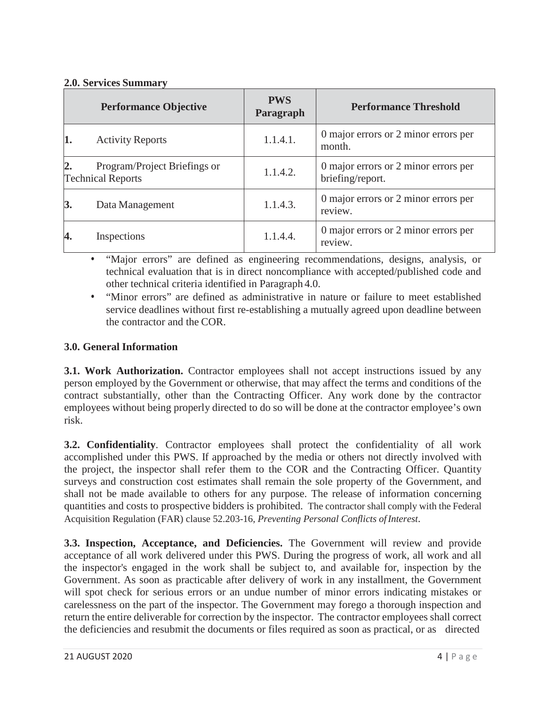# **2.0. Services Summary**

|    | <b>Performance Objective</b>                             | <b>PWS</b><br>Paragraph | <b>Performance Threshold</b>                             |
|----|----------------------------------------------------------|-------------------------|----------------------------------------------------------|
|    | <b>Activity Reports</b>                                  | 1.1.4.1.                | 0 major errors or 2 minor errors per<br>month.           |
|    | Program/Project Briefings or<br><b>Technical Reports</b> | 1.1.4.2.                | 0 major errors or 2 minor errors per<br>briefing/report. |
| 3. | Data Management                                          | 1.1.4.3.                | 0 major errors or 2 minor errors per<br>review.          |
|    | Inspections                                              | 1.1.4.4.                | 0 major errors or 2 minor errors per<br>review.          |

• "Major errors" are defined as engineering recommendations, designs, analysis, or technical evaluation that is in direct noncompliance with accepted/published code and other technical criteria identified in Paragraph 4.0.

• "Minor errors" are defined as administrative in nature or failure to meet established service deadlines without first re-establishing a mutually agreed upon deadline between the contractor and the COR.

# **3.0. General Information**

**3.1. Work Authorization.** Contractor employees shall not accept instructions issued by any person employed by the Government or otherwise, that may affect the terms and conditions of the contract substantially, other than the Contracting Officer. Any work done by the contractor employees without being properly directed to do so will be done at the contractor employee's own risk.

**3.2. Confidentiality**. Contractor employees shall protect the confidentiality of all work accomplished under this PWS. If approached by the media or others not directly involved with the project, the inspector shall refer them to the COR and the Contracting Officer. Quantity surveys and construction cost estimates shall remain the sole property of the Government, and shall not be made available to others for any purpose. The release of information concerning quantities and costs to prospective bidders is prohibited. The contractor shall comply with the Federal Acquisition Regulation (FAR) clause 52.203-16, *Preventing Personal Conflicts ofInterest*.

**3.3. Inspection, Acceptance, and Deficiencies.** The Government will review and provide acceptance of all work delivered under this PWS. During the progress of work, all work and all the inspector's engaged in the work shall be subject to, and available for, inspection by the Government. As soon as practicable after delivery of work in any installment, the Government will spot check for serious errors or an undue number of minor errors indicating mistakes or carelessness on the part of the inspector. The Government may forego a thorough inspection and return the entire deliverable for correction by the inspector. The contractor employees shall correct the deficiencies and resubmit the documents or files required as soon as practical, or as directed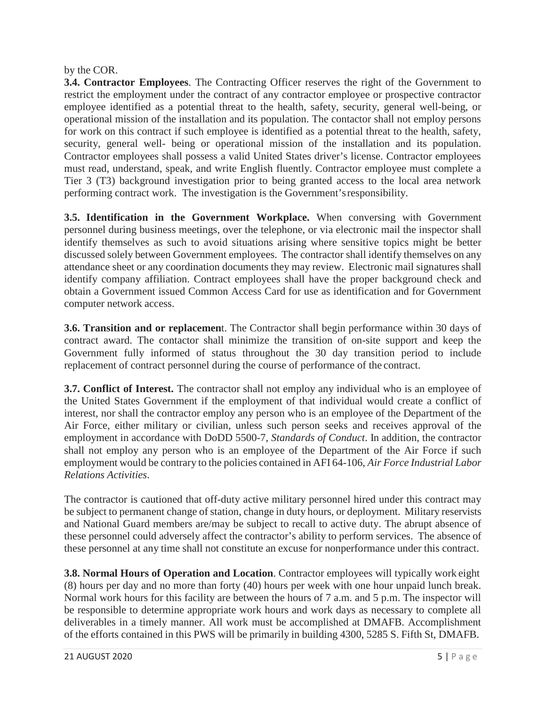## by the COR.

**3.4. Contractor Employees**. The Contracting Officer reserves the right of the Government to restrict the employment under the contract of any contractor employee or prospective contractor employee identified as a potential threat to the health, safety, security, general well-being, or operational mission of the installation and its population. The contactor shall not employ persons for work on this contract if such employee is identified as a potential threat to the health, safety, security, general well- being or operational mission of the installation and its population. Contractor employees shall possess a valid United States driver's license. Contractor employees must read, understand, speak, and write English fluently. Contractor employee must complete a Tier 3 (T3) background investigation prior to being granted access to the local area network performing contract work. The investigation is the Government'sresponsibility.

**3.5. Identification in the Government Workplace.** When conversing with Government personnel during business meetings, over the telephone, or via electronic mail the inspector shall identify themselves as such to avoid situations arising where sensitive topics might be better discussed solely between Government employees. The contractor shall identify themselves on any attendance sheet or any coordination documents they may review. Electronic mail signatures shall identify company affiliation. Contract employees shall have the proper background check and obtain a Government issued Common Access Card for use as identification and for Government computer network access.

**3.6. Transition and or replacemen**t. The Contractor shall begin performance within 30 days of contract award. The contactor shall minimize the transition of on-site support and keep the Government fully informed of status throughout the 30 day transition period to include replacement of contract personnel during the course of performance of the contract.

**3.7. Conflict of Interest.** The contractor shall not employ any individual who is an employee of the United States Government if the employment of that individual would create a conflict of interest, nor shall the contractor employ any person who is an employee of the Department of the Air Force, either military or civilian, unless such person seeks and receives approval of the employment in accordance with DoDD 5500-7, *Standards of Conduct*. In addition, the contractor shall not employ any person who is an employee of the Department of the Air Force if such employment would be contrary to the policies contained in AFI 64-106, *Air Force Industrial Labor Relations Activities*.

The contractor is cautioned that off-duty active military personnel hired under this contract may be subject to permanent change of station, change in duty hours, or deployment. Military reservists and National Guard members are/may be subject to recall to active duty. The abrupt absence of these personnel could adversely affect the contractor's ability to perform services. The absence of these personnel at any time shall not constitute an excuse for nonperformance under this contract.

**3.8. Normal Hours of Operation and Location**. Contractor employees will typically work eight (8) hours per day and no more than forty (40) hours per week with one hour unpaid lunch break. Normal work hours for this facility are between the hours of 7 a.m. and 5 p.m. The inspector will be responsible to determine appropriate work hours and work days as necessary to complete all deliverables in a timely manner. All work must be accomplished at DMAFB. Accomplishment of the efforts contained in this PWS will be primarily in building 4300, 5285 S. Fifth St, DMAFB.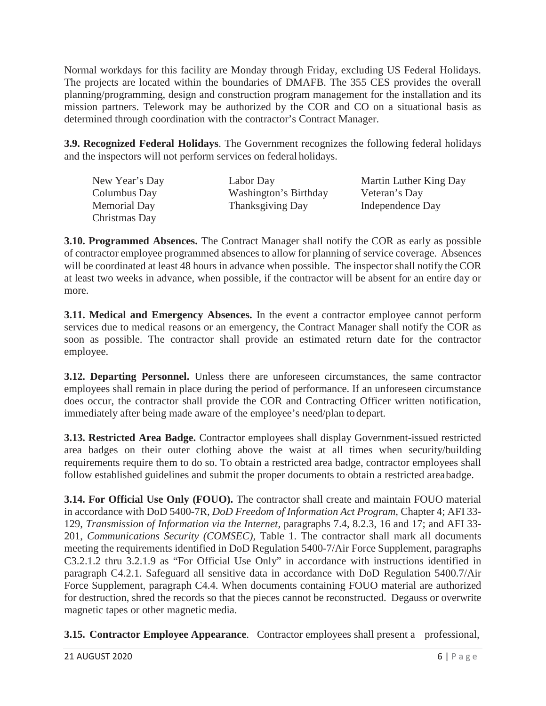Normal workdays for this facility are Monday through Friday, excluding US Federal Holidays. The projects are located within the boundaries of DMAFB. The 355 CES provides the overall planning/programming, design and construction program management for the installation and its mission partners. Telework may be authorized by the COR and CO on a situational basis as determined through coordination with the contractor's Contract Manager.

**3.9. Recognized Federal Holidays**. The Government recognizes the following federal holidays and the inspectors will not perform services on federal holidays.

| New Year's Day      | Labor Day             | Martin Luther King Day |
|---------------------|-----------------------|------------------------|
| Columbus Day        | Washington's Birthday | Veteran's Day          |
| <b>Memorial Day</b> | Thanksgiving Day      | Independence Day       |
| Christmas Day       |                       |                        |

**3.10. Programmed Absences.** The Contract Manager shall notify the COR as early as possible of contractor employee programmed absences to allow for planning of service coverage. Absences will be coordinated at least 48 hours in advance when possible. The inspector shall notify the COR at least two weeks in advance, when possible, if the contractor will be absent for an entire day or more.

**3.11. Medical and Emergency Absences.** In the event a contractor employee cannot perform services due to medical reasons or an emergency, the Contract Manager shall notify the COR as soon as possible. The contractor shall provide an estimated return date for the contractor employee.

**3.12. Departing Personnel.** Unless there are unforeseen circumstances, the same contractor employees shall remain in place during the period of performance. If an unforeseen circumstance does occur, the contractor shall provide the COR and Contracting Officer written notification, immediately after being made aware of the employee's need/plan todepart.

**3.13. Restricted Area Badge.** Contractor employees shall display Government-issued restricted area badges on their outer clothing above the waist at all times when security/building requirements require them to do so. To obtain a restricted area badge, contractor employees shall follow established guidelines and submit the proper documents to obtain a restricted areabadge.

**3.14. For Official Use Only (FOUO).** The contractor shall create and maintain FOUO material in accordance with DoD 5400-7R, *DoD Freedom of Information Act Program,* Chapter 4; AFI 33- 129, *Transmission of Information via the Internet,* paragraphs 7.4, 8.2.3, 16 and 17; and AFI 33- 201, *Communications Security (COMSEC),* Table 1. The contractor shall mark all documents meeting the requirements identified in DoD Regulation 5400-7/Air Force Supplement, paragraphs C3.2.1.2 thru 3.2.1.9 as "For Official Use Only" in accordance with instructions identified in paragraph C4.2.1. Safeguard all sensitive data in accordance with DoD Regulation 5400.7/Air Force Supplement, paragraph C4.4. When documents containing FOUO material are authorized for destruction, shred the records so that the pieces cannot be reconstructed. Degauss or overwrite magnetic tapes or other magnetic media.

**3.15. Contractor Employee Appearance**. Contractor employees shall present a professional,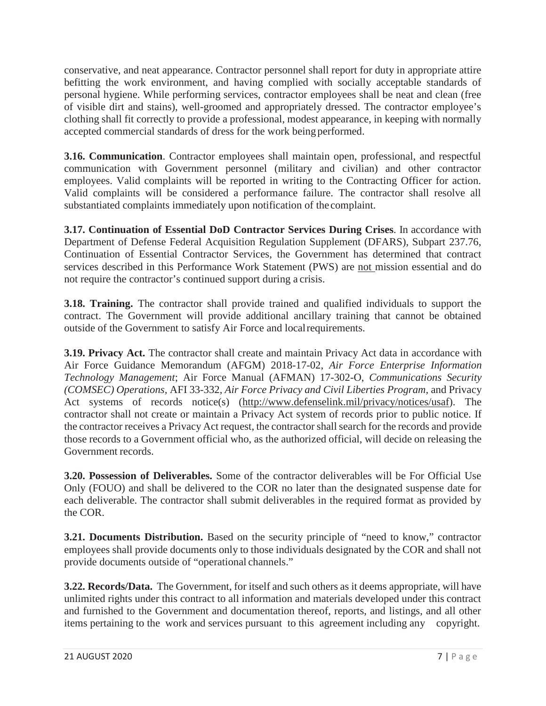conservative, and neat appearance. Contractor personnel shall report for duty in appropriate attire befitting the work environment, and having complied with socially acceptable standards of personal hygiene. While performing services, contractor employees shall be neat and clean (free of visible dirt and stains), well-groomed and appropriately dressed. The contractor employee's clothing shall fit correctly to provide a professional, modest appearance, in keeping with normally accepted commercial standards of dress for the work being performed.

**3.16. Communication**. Contractor employees shall maintain open, professional, and respectful communication with Government personnel (military and civilian) and other contractor employees. Valid complaints will be reported in writing to the Contracting Officer for action. Valid complaints will be considered a performance failure. The contractor shall resolve all substantiated complaints immediately upon notification of the complaint.

**3.17. Continuation of Essential DoD Contractor Services During Crises**. In accordance with Department of Defense Federal Acquisition Regulation Supplement (DFARS), Subpart 237.76, Continuation of Essential Contractor Services, the Government has determined that contract services described in this Performance Work Statement (PWS) are not mission essential and do not require the contractor's continued support during a crisis.

**3.18. Training.** The contractor shall provide trained and qualified individuals to support the contract. The Government will provide additional ancillary training that cannot be obtained outside of the Government to satisfy Air Force and localrequirements.

**3.19. Privacy Act.** The contractor shall create and maintain Privacy Act data in accordance with Air Force Guidance Memorandum (AFGM) 2018-17-02, *Air Force Enterprise Information Technology Management*; Air Force Manual (AFMAN) 17-302-O, *Communications Security (COMSEC) Operations,* AFI 33-332, *Air Force Privacy and Civil Liberties Program,* and Privacy Act systems of records notice(s) [\(http://www.defenselink.mil/privacy/notices/usaf\).](http://www.defenselink.mil/privacy/notices/usaf)) The contractor shall not create or maintain a Privacy Act system of records prior to public notice. If the contractor receives a Privacy Act request, the contractor shall search for the records and provide those records to a Government official who, as the authorized official, will decide on releasing the Government records.

**3.20. Possession of Deliverables.** Some of the contractor deliverables will be For Official Use Only (FOUO) and shall be delivered to the COR no later than the designated suspense date for each deliverable. The contractor shall submit deliverables in the required format as provided by the COR.

**3.21. Documents Distribution.** Based on the security principle of "need to know," contractor employees shall provide documents only to those individuals designated by the COR and shall not provide documents outside of "operational channels."

**3.22. Records/Data.** The Government, for itself and such others as it deems appropriate, will have unlimited rights under this contract to all information and materials developed under this contract and furnished to the Government and documentation thereof, reports, and listings, and all other items pertaining to the work and services pursuant to this agreement including any copyright.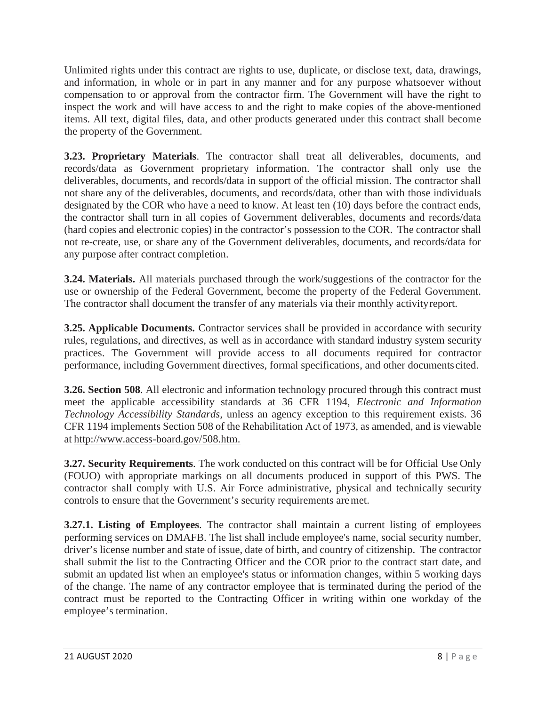Unlimited rights under this contract are rights to use, duplicate, or disclose text, data, drawings, and information, in whole or in part in any manner and for any purpose whatsoever without compensation to or approval from the contractor firm. The Government will have the right to inspect the work and will have access to and the right to make copies of the above-mentioned items. All text, digital files, data, and other products generated under this contract shall become the property of the Government.

**3.23. Proprietary Materials**. The contractor shall treat all deliverables, documents, and records/data as Government proprietary information. The contractor shall only use the deliverables, documents, and records/data in support of the official mission. The contractor shall not share any of the deliverables, documents, and records/data, other than with those individuals designated by the COR who have a need to know. At least ten (10) days before the contract ends, the contractor shall turn in all copies of Government deliverables, documents and records/data (hard copies and electronic copies) in the contractor's possession to the COR. The contractor shall not re-create, use, or share any of the Government deliverables, documents, and records/data for any purpose after contract completion.

**3.24. Materials.** All materials purchased through the work/suggestions of the contractor for the use or ownership of the Federal Government, become the property of the Federal Government. The contractor shall document the transfer of any materials via their monthly activityreport.

**3.25. Applicable Documents.** Contractor services shall be provided in accordance with security rules, regulations, and directives, as well as in accordance with standard industry system security practices. The Government will provide access to all documents required for contractor performance, including Government directives, formal specifications, and other documentscited.

**3.26. Section 508**. All electronic and information technology procured through this contract must meet the applicable accessibility standards at 36 CFR 1194, *Electronic and Information Technology Accessibility Standards,* unless an agency exception to this requirement exists. 36 CFR 1194 implements Section 508 of the Rehabilitation Act of 1973, as amended, and is viewable at [http://www.access-board.gov/508.htm.](http://www.access-board.gov/508.htm)

**3.27. Security Requirements**. The work conducted on this contract will be for Official Use Only (FOUO) with appropriate markings on all documents produced in support of this PWS. The contractor shall comply with U.S. Air Force administrative, physical and technically security controls to ensure that the Government's security requirements aremet.

**3.27.1. Listing of Employees**. The contractor shall maintain a current listing of employees performing services on DMAFB. The list shall include employee's name, social security number, driver's license number and state of issue, date of birth, and country of citizenship. The contractor shall submit the list to the Contracting Officer and the COR prior to the contract start date, and submit an updated list when an employee's status or information changes, within 5 working days of the change. The name of any contractor employee that is terminated during the period of the contract must be reported to the Contracting Officer in writing within one workday of the employee's termination.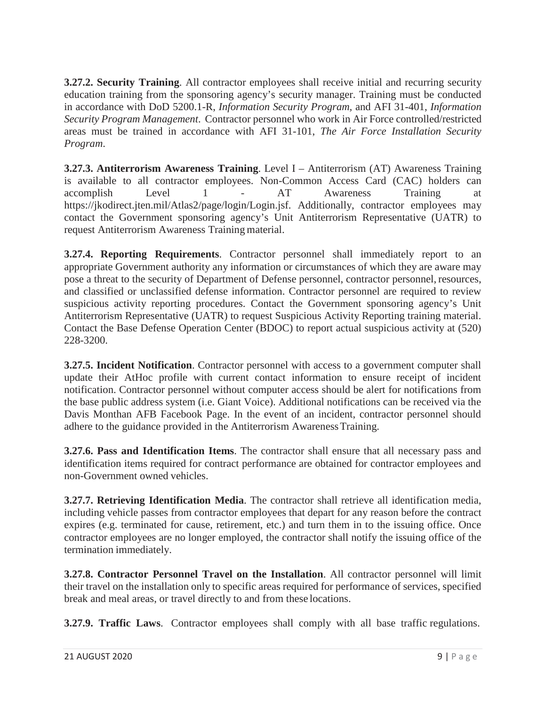**3.27.2. Security Training**. All contractor employees shall receive initial and recurring security education training from the sponsoring agency's security manager. Training must be conducted in accordance with DoD 5200.1-R, *Information Security Program,* and AFI 31-401, *Information Security Program Management*. Contractor personnel who work in Air Force controlled/restricted areas must be trained in accordance with AFI 31-101, *The Air Force Installation Security Program*.

**3.27.3. Antiterrorism Awareness Training**. Level I – Antiterrorism (AT) Awareness Training is available to all contractor employees. Non-Common Access Card (CAC) holders can accomplish Level 1 - AT Awareness Training at https://jkodirect.jten.mil/Atlas2/page/login/Login.jsf. Additionally, contractor employees may contact the Government sponsoring agency's Unit Antiterrorism Representative (UATR) to request Antiterrorism Awareness Training material.

**3.27.4. Reporting Requirements**. Contractor personnel shall immediately report to an appropriate Government authority any information or circumstances of which they are aware may pose a threat to the security of Department of Defense personnel, contractor personnel, resources, and classified or unclassified defense information. Contractor personnel are required to review suspicious activity reporting procedures. Contact the Government sponsoring agency's Unit Antiterrorism Representative (UATR) to request Suspicious Activity Reporting training material. Contact the Base Defense Operation Center (BDOC) to report actual suspicious activity at (520) 228-3200.

**3.27.5. Incident Notification**. Contractor personnel with access to a government computer shall update their AtHoc profile with current contact information to ensure receipt of incident notification. Contractor personnel without computer access should be alert for notifications from the base public address system (i.e. Giant Voice). Additional notifications can be received via the Davis Monthan AFB Facebook Page. In the event of an incident, contractor personnel should adhere to the guidance provided in the Antiterrorism AwarenessTraining.

**3.27.6. Pass and Identification Items**. The contractor shall ensure that all necessary pass and identification items required for contract performance are obtained for contractor employees and non-Government owned vehicles.

**3.27.7. Retrieving Identification Media**. The contractor shall retrieve all identification media, including vehicle passes from contractor employees that depart for any reason before the contract expires (e.g. terminated for cause, retirement, etc.) and turn them in to the issuing office. Once contractor employees are no longer employed, the contractor shall notify the issuing office of the termination immediately.

**3.27.8. Contractor Personnel Travel on the Installation**. All contractor personnel will limit their travel on the installation only to specific areas required for performance of services, specified break and meal areas, or travel directly to and from these locations.

**3.27.9. Traffic Laws**. Contractor employees shall comply with all base traffic regulations.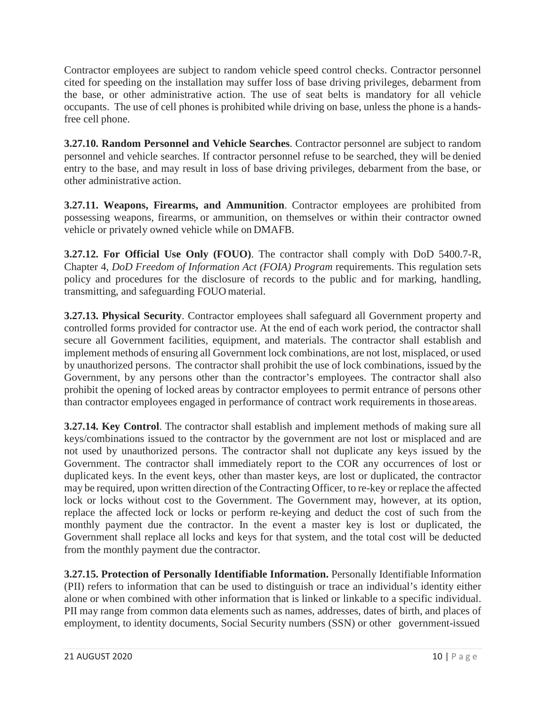Contractor employees are subject to random vehicle speed control checks. Contractor personnel cited for speeding on the installation may suffer loss of base driving privileges, debarment from the base, or other administrative action. The use of seat belts is mandatory for all vehicle occupants. The use of cell phones is prohibited while driving on base, unless the phone is a handsfree cell phone.

**3.27.10. Random Personnel and Vehicle Searches**. Contractor personnel are subject to random personnel and vehicle searches. If contractor personnel refuse to be searched, they will be denied entry to the base, and may result in loss of base driving privileges, debarment from the base, or other administrative action.

**3.27.11. Weapons, Firearms, and Ammunition**. Contractor employees are prohibited from possessing weapons, firearms, or ammunition, on themselves or within their contractor owned vehicle or privately owned vehicle while on DMAFB.

**3.27.12. For Official Use Only (FOUO)**. The contractor shall comply with DoD 5400.7-R, Chapter 4, *DoD Freedom of Information Act (FOIA) Program* requirements. This regulation sets policy and procedures for the disclosure of records to the public and for marking, handling, transmitting, and safeguarding FOUO material.

**3.27.13. Physical Security**. Contractor employees shall safeguard all Government property and controlled forms provided for contractor use. At the end of each work period, the contractor shall secure all Government facilities, equipment, and materials. The contractor shall establish and implement methods of ensuring all Government lock combinations, are not lost, misplaced, or used by unauthorized persons. The contractor shall prohibit the use of lock combinations, issued by the Government, by any persons other than the contractor's employees. The contractor shall also prohibit the opening of locked areas by contractor employees to permit entrance of persons other than contractor employees engaged in performance of contract work requirements in thoseareas.

**3.27.14. Key Control**. The contractor shall establish and implement methods of making sure all keys/combinations issued to the contractor by the government are not lost or misplaced and are not used by unauthorized persons. The contractor shall not duplicate any keys issued by the Government. The contractor shall immediately report to the COR any occurrences of lost or duplicated keys. In the event keys, other than master keys, are lost or duplicated, the contractor may be required, upon written direction of the Contracting Officer, to re-key or replace the affected lock or locks without cost to the Government. The Government may, however, at its option, replace the affected lock or locks or perform re-keying and deduct the cost of such from the monthly payment due the contractor. In the event a master key is lost or duplicated, the Government shall replace all locks and keys for that system, and the total cost will be deducted from the monthly payment due the contractor.

**3.27.15. Protection of Personally Identifiable Information.** Personally Identifiable Information (PII) refers to information that can be used to distinguish or trace an individual's identity either alone or when combined with other information that is linked or linkable to a specific individual. PII may range from common data elements such as names, addresses, dates of birth, and places of employment, to identity documents, Social Security numbers (SSN) or other government-issued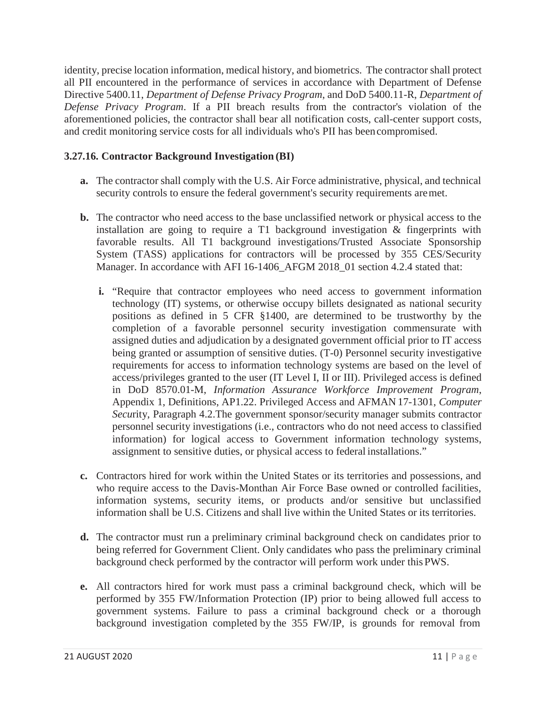identity, precise location information, medical history, and biometrics. The contractor shall protect all PII encountered in the performance of services in accordance with Department of Defense Directive 5400.11, *Department of Defense Privacy Program*, and DoD 5400.11-R, *Department of Defense Privacy Program*. If a PII breach results from the contractor's violation of the aforementioned policies, the contractor shall bear all notification costs, call-center support costs, and credit monitoring service costs for all individuals who's PII has beencompromised.

# **3.27.16. Contractor Background Investigation (BI)**

- **a.** The contractor shall comply with the U.S. Air Force administrative, physical, and technical security controls to ensure the federal government's security requirements aremet.
- **b.** The contractor who need access to the base unclassified network or physical access to the installation are going to require a T1 background investigation & fingerprints with favorable results. All T1 background investigations/Trusted Associate Sponsorship System (TASS) applications for contractors will be processed by 355 CES/Security Manager. In accordance with AFI 16-1406\_AFGM 2018\_01 section 4.2.4 stated that:
	- **i.** "Require that contractor employees who need access to government information technology (IT) systems, or otherwise occupy billets designated as national security positions as defined in 5 CFR §1400, are determined to be trustworthy by the completion of a favorable personnel security investigation commensurate with assigned duties and adjudication by a designated government official prior to IT access being granted or assumption of sensitive duties. (T-0) Personnel security investigative requirements for access to information technology systems are based on the level of access/privileges granted to the user (IT Level I, II or III). Privileged access is defined in DoD 8570.01-M, *Information Assurance Workforce Improvement Program*, Appendix 1, Definitions, AP1.22. Privileged Access and AFMAN 17-1301, *Computer Secu*rity, Paragraph 4.2.The government sponsor/security manager submits contractor personnel security investigations (i.e., contractors who do not need access to classified information) for logical access to Government information technology systems, assignment to sensitive duties, or physical access to federal installations."
- **c.** Contractors hired for work within the United States or its territories and possessions, and who require access to the Davis-Monthan Air Force Base owned or controlled facilities, information systems, security items, or products and/or sensitive but unclassified information shall be U.S. Citizens and shall live within the United States or its territories.
- **d.** The contractor must run a preliminary criminal background check on candidates prior to being referred for Government Client. Only candidates who pass the preliminary criminal background check performed by the contractor will perform work under thisPWS.
- **e.** All contractors hired for work must pass a criminal background check, which will be performed by 355 FW/Information Protection (IP) prior to being allowed full access to government systems. Failure to pass a criminal background check or a thorough background investigation completed by the 355 FW/IP, is grounds for removal from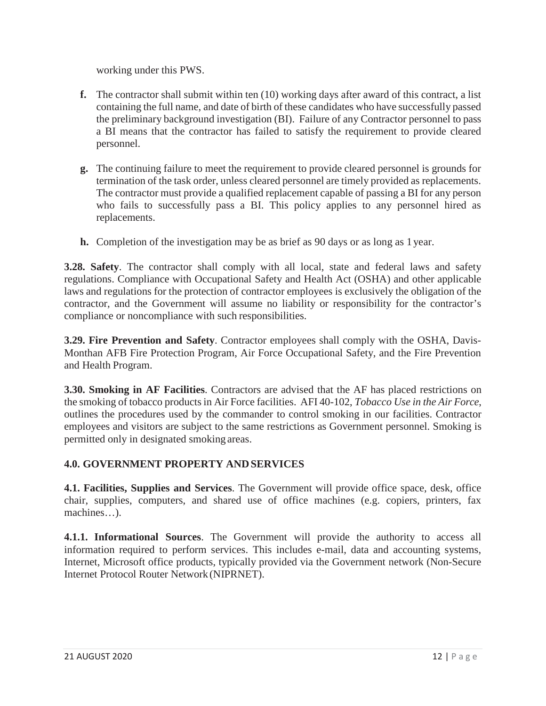working under this PWS.

- **f.** The contractor shall submit within ten (10) working days after award of this contract, a list containing the full name, and date of birth of these candidates who have successfully passed the preliminary background investigation (BI). Failure of any Contractor personnel to pass a BI means that the contractor has failed to satisfy the requirement to provide cleared personnel.
- **g.** The continuing failure to meet the requirement to provide cleared personnel is grounds for termination of the task order, unless cleared personnel are timely provided as replacements. The contractor must provide a qualified replacement capable of passing a BI for any person who fails to successfully pass a BI. This policy applies to any personnel hired as replacements.
- **h.** Completion of the investigation may be as brief as 90 days or as long as 1 year.

**3.28. Safety**. The contractor shall comply with all local, state and federal laws and safety regulations. Compliance with Occupational Safety and Health Act (OSHA) and other applicable laws and regulations for the protection of contractor employees is exclusively the obligation of the contractor, and the Government will assume no liability or responsibility for the contractor's compliance or noncompliance with such responsibilities.

**3.29. Fire Prevention and Safety**. Contractor employees shall comply with the OSHA, Davis-Monthan AFB Fire Protection Program, Air Force Occupational Safety, and the Fire Prevention and Health Program.

**3.30. Smoking in AF Facilities**. Contractors are advised that the AF has placed restrictions on the smoking of tobacco productsin Air Force facilities. AFI 40-102, *Tobacco Use in the Air Force*, outlines the procedures used by the commander to control smoking in our facilities. Contractor employees and visitors are subject to the same restrictions as Government personnel. Smoking is permitted only in designated smoking areas.

# **4.0. GOVERNMENT PROPERTY ANDSERVICES**

**4.1. Facilities, Supplies and Services**. The Government will provide office space, desk, office chair, supplies, computers, and shared use of office machines (e.g. copiers, printers, fax machines…).

**4.1.1. Informational Sources**. The Government will provide the authority to access all information required to perform services. This includes e-mail, data and accounting systems, Internet, Microsoft office products, typically provided via the Government network (Non-Secure Internet Protocol Router Network (NIPRNET).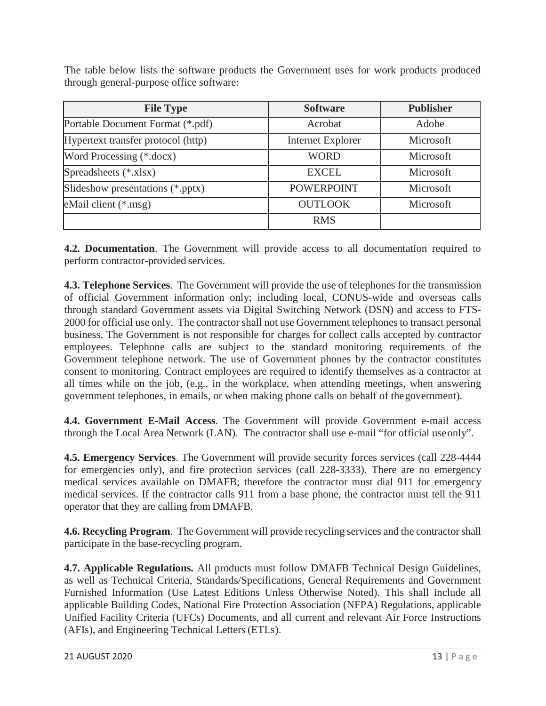The table below lists the software products the Government uses for work products produced through general-purpose office software:

| <b>File Type</b>                   | <b>Software</b>          | <b>Publisher</b> |
|------------------------------------|--------------------------|------------------|
| Portable Document Format (*.pdf)   | Acrobat                  | Adobe            |
| Hypertext transfer protocol (http) | <b>Internet Explorer</b> | Microsoft        |
| Word Processing (*.docx)           | <b>WORD</b>              | Microsoft        |
| Spreadsheets (*.xlsx)              | <b>EXCEL</b>             | Microsoft        |
| Slideshow presentations (*.pptx)   | <b>POWERPOINT</b>        | Microsoft        |
| eMail client (*.msg)               | <b>OUTLOOK</b>           | Microsoft        |
|                                    | <b>RMS</b>               |                  |

**4.2. Documentation**. The Government will provide access to all documentation required to perform contractor-provided services.

**4.3. Telephone Services**. The Government will provide the use of telephones for the transmission of official Government information only; including local, CONUS-wide and overseas calls through standard Government assets via Digital Switching Network (DSN) and access to FTS-2000 for official use only. The contractor shall not use Government telephones to transact personal business. The Government is not responsible for charges for collect calls accepted by contractor employees. Telephone calls are subject to the standard monitoring requirements of the Government telephone network. The use of Government phones by the contractor constitutes consent to monitoring. Contract employees are required to identify themselves as a contractor at all times while on the job, (e.g., in the workplace, when attending meetings, when answering government telephones, in emails, or when making phone calls on behalf of thegovernment).

**4.4. Government E-Mail Access**. The Government will provide Government e-mail access through the Local Area Network (LAN). The contractor shall use e-mail "for official useonly".

**4.5. Emergency Services**. The Government will provide security forces services (call 228-4444 for emergencies only), and fire protection services (call 228-3333). There are no emergency medical services available on DMAFB; therefore the contractor must dial 911 for emergency medical services. If the contractor calls 911 from a base phone, the contractor must tell the 911 operator that they are calling from DMAFB.

**4.6. Recycling Program**. The Government will provide recycling services and the contractorshall participate in the base-recycling program.

**4.7. Applicable Regulations.** All products must follow DMAFB Technical Design Guidelines, as well as Technical Criteria, Standards/Specifications, General Requirements and Government Furnished Information (Use Latest Editions Unless Otherwise Noted). This shall include all applicable Building Codes, National Fire Protection Association (NFPA) Regulations, applicable Unified Facility Criteria (UFCs) Documents, and all current and relevant Air Force Instructions (AFIs), and Engineering Technical Letters(ETLs).